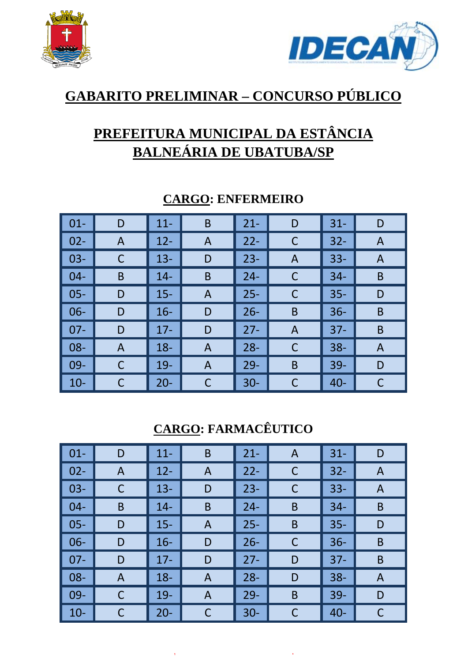



# **GABARITO PRELIMINAR – CONCURSO PÚBLICO**

# **PREFEITURA MUNICIPAL DA ESTÂNCIA BALNEÁRIA DE UBATUBA/SP**

| $\vert$ 01- | D | $11 -$ | B            | $21 -$ | D            | $31 -$ | D |
|-------------|---|--------|--------------|--------|--------------|--------|---|
| $\vert$ 02- | A | $12 -$ | A            | $22 -$ | $\mathsf{C}$ | $32 -$ | A |
| $\vert$ 03- |   | $13 -$ | D            | $23 -$ | A            | $33 -$ | A |
| $\vert$ 04- | B | $14 -$ | B            | $24 -$ | C            | $34 -$ | B |
| $\vert$ 05- | D | $15 -$ | A            | $25 -$ | $\mathsf{C}$ | $35 -$ | D |
| $\vert$ 06- | D | $16 -$ | D            | $26 -$ | B            | $36 -$ | B |
| $\vert$ 07- | D | $17 -$ | D            | $27 -$ | Α            | $37 -$ | B |
| $\vert$ 08- | A | $18 -$ | $\mathsf{A}$ | $28 -$ | $\mathsf{C}$ | $38 -$ | A |
| $\vert$ 09- | С | $19-$  | $\mathsf{A}$ | $29 -$ | B            | $39 -$ | D |
| $\vert$ 10- |   | $20 -$ | С            | $30 -$ | C            | $40 -$ |   |

#### **CARGO: ENFERMEIRO**

## **CARGO: FARMACÊUTICO**

| $01 -$ | D | $11 -$ | B | $21 -$ | A           | $31 -$ | D |
|--------|---|--------|---|--------|-------------|--------|---|
| $02 -$ | A | $12 -$ | A | $22 -$ | C           | $32 -$ | A |
| $03 -$ | C | $13 -$ | D | $23 -$ | $\mathsf C$ | $33 -$ | A |
| $04 -$ | B | $14-$  | B | $24 -$ | B           | $34 -$ | B |
| $05 -$ | D | $15 -$ | A | $25 -$ | B           | $35 -$ | D |
| $06 -$ | D | $16 -$ | D | $26 -$ | C           | $36-$  | B |
| $07 -$ | D | $17 -$ | D | $27 -$ | D           | $37 -$ | B |
| $08 -$ | A | $18 -$ | A | $28 -$ | D           | $38 -$ | A |
| $09-$  | C | $19-$  | A | $29 -$ | B           | $39 -$ | D |
| $10 -$ | С | $20 -$ | C | $30 -$ | C           | $40 -$ | C |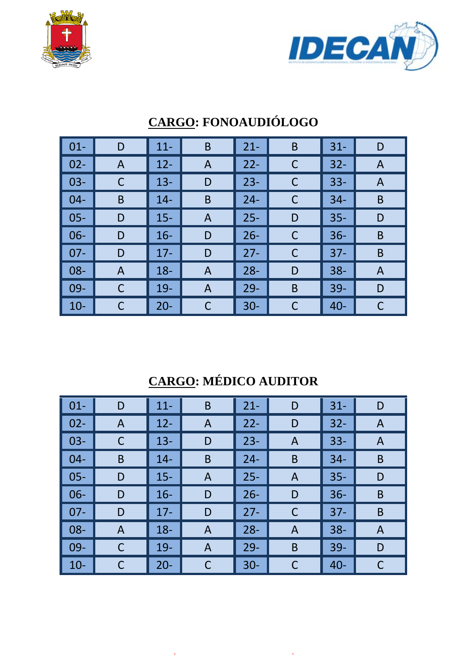



| $\vert$ 01-     | D | $11 -$ | B           | $21 -$ | B | $31 -$ | D            |
|-----------------|---|--------|-------------|--------|---|--------|--------------|
| $\vert$ 02-     | A | $12 -$ | A           | $22 -$ | C | $32 -$ | A            |
| $\vert$ 03-     | C | $13 -$ | D           | $23 -$ | C | $33 -$ | A            |
| $  04 -$        | B | $14 -$ | $\mathsf B$ | $24 -$ | C | $34 -$ | B            |
| $\vert$ 05-     | D | $15 -$ | A           | $25 -$ | D | $35 -$ | D            |
| $\vert$ 06-     | D | $16 -$ | D           | $26 -$ | C | $36 -$ | B            |
| $\vert$ 07-     | D | $17 -$ | D           | $27 -$ | C | $37 -$ | B            |
| $\vert$ 08-     | A | $18 -$ | A           | $28 -$ | D | $38 -$ | A            |
| $\parallel$ 09- | C | $19-$  | A           | $29 -$ | B | $39 -$ | D            |
| $\vert$ 10-     |   | $20 -$ | C           | $30 -$ | C | $40 -$ | $\mathsf{C}$ |

# **CARGO: FONOAUDIÓLOGO**

# **CARGO: MÉDICO AUDITOR**

| $\vert$ 01- | D            | $11 -$ | B           | $21 -$ | D | $31 -$ | D |
|-------------|--------------|--------|-------------|--------|---|--------|---|
| $02 -$      | A            | $12 -$ | A           | $22 -$ | D | $32 -$ | A |
| $03 -$      | С            | $13 -$ | D           | $23 -$ | A | $33 -$ | A |
| $04 -$      | B            | $14 -$ | B           | $24 -$ | B | $34 -$ | B |
| $05 -$      | D            | $15 -$ | A           | $25 -$ | A | $35 -$ | D |
| $06 -$      | D            | $16 -$ | D           | $26 -$ | D | $36 -$ | B |
| $07 -$      | D            | $17 -$ | D           | $27 -$ | C | $37 -$ | B |
| $08 -$      | $\mathsf{A}$ | $18 -$ | A           | $28 -$ | A | $38 -$ | A |
| $09-$       | C            | $19-$  | A           | $29 -$ | B | $39 -$ | D |
| $10-$       |              | $20 -$ | $\mathsf C$ | $30 -$ | C | $40 -$ | C |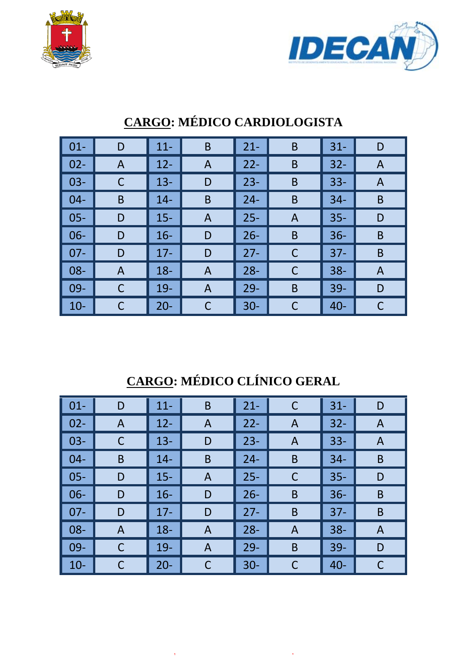



| $\vert 01 -$ | D | $11 -$ | B              | $21 -$ | B            | $31 -$ | D |
|--------------|---|--------|----------------|--------|--------------|--------|---|
| $\vert$ 02-  | A | $12 -$ | A              | $22 -$ | B            | $32 -$ | A |
| $\vert$ 03-  |   | $13 -$ | D              | $23 -$ | B            | $33 -$ | A |
| $\vert$ 04-  | B | $14 -$ | B              | $24 -$ | B            | $34 -$ | B |
| $\vert$ 05-  | D | $15 -$ | A              | $25 -$ | A            | $35 -$ | D |
| $\vert$ 06-  | D | $16 -$ | D              | $26 -$ | B            | $36 -$ | B |
| $\vert$ 07-  | D | $17 -$ | D              | $27 -$ | C            | $37 -$ | B |
| $\vert$ 08-  | A | $18 -$ | A              | $28 -$ | $\mathsf{C}$ | $38 -$ | A |
| $\vert$ 09-  |   | $19 -$ | $\overline{A}$ | $29 -$ | B            | $39 -$ | D |
| $\vert$ 10-  |   | $20 -$ | С              | $30 -$ | C            | $40 -$ | C |

# **CARGO: MÉDICO CARDIOLOGISTA**

# **CARGO: MÉDICO CLÍNICO GERAL**

| $\vert$ 01-     | D | $11 -$ | B | $21 -$ | C | $31 -$ | D            |
|-----------------|---|--------|---|--------|---|--------|--------------|
| $\vert$ 02-     | A | $12 -$ | A | $22 -$ | A | $32 -$ | $\mathsf{A}$ |
| $\vert$ 03-     |   | $13 -$ | D | $23 -$ | A | $33 -$ | A            |
| $\vert$ 04-     | B | $14 -$ | B | $24 -$ | B | $34 -$ | B            |
| $\vert$ 05-     | D | $15 -$ | A | $25 -$ | C | $35 -$ | D            |
| $\vert$ 06-     | D | $16 -$ | D | $26 -$ | B | $36 -$ | B            |
| $\vert$ 07-     | D | $17 -$ | D | $27 -$ | B | $37 -$ | B            |
| $\vert$ 08-     | A | $18 -$ | A | $28 -$ | A | $38 -$ | A            |
| $\parallel$ 09- | C | $19 -$ | A | $29 -$ | B | $39 -$ | D            |
| $\vert$ 10-     |   | $20 -$ | С | $30 -$ | C | $40 -$ | С            |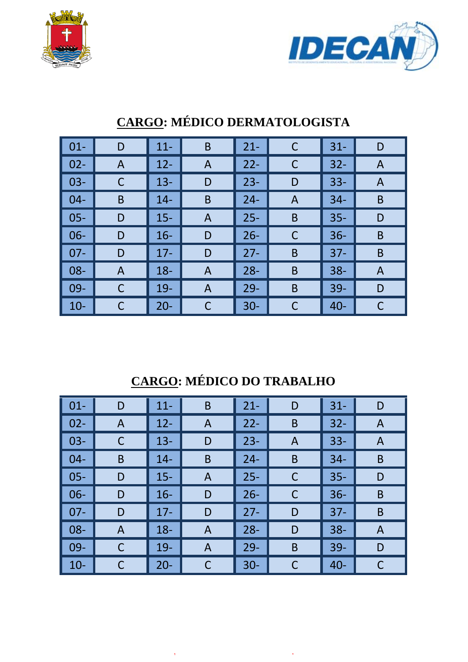



| $\vert$ 01- | D | $11 -$ | B | $21 -$ | C           | $31 -$ | D |
|-------------|---|--------|---|--------|-------------|--------|---|
| $\vert$ 02- | A | $12 -$ | A | $22 -$ | $\mathsf C$ | $32 -$ | A |
| $\vert$ 03- | C | $13 -$ | D | $23 -$ | D           | $33 -$ | A |
| $\vert$ 04- | B | $14 -$ | B | $24 -$ | Α           | $34 -$ | B |
| $\vert$ 05- | D | $15 -$ | A | $25 -$ | B           | $35 -$ | D |
| $\vert$ 06- | D | $16 -$ | D | $26 -$ | C           | $36 -$ | B |
| $07 -$      | D | $17 -$ | D | $27 -$ | B           | $37 -$ | B |
| $\vert$ 08- | A | $18 -$ | A | $28 -$ | B           | $38 -$ | A |
| $\vert$ 09- |   | 19-    | A | $29 -$ | B           | 39-    | D |
| $\vert$ 10- |   | $20 -$ | C | $30 -$ | C           | $40 -$ | C |

# **CARGO: MÉDICO DERMATOLOGISTA**

# **CARGO: MÉDICO DO TRABALHO**

| $01 -$ | D | $11 -$ | B | $21 -$ | D           | $31 -$ | D |
|--------|---|--------|---|--------|-------------|--------|---|
| $02 -$ | A | $12 -$ | A | $22 -$ | B           | $32 -$ | A |
| $03 -$ | C | $13 -$ | D | $23 -$ | A           | $33 -$ | A |
| $04 -$ | B | $14 -$ | B | $24 -$ | B           | $34 -$ | B |
| $05 -$ | D | $15 -$ | A | $25 -$ | C           | $35 -$ | D |
| $06 -$ | D | $16 -$ | D | $26 -$ | $\mathsf C$ | $36 -$ | B |
| $07 -$ | D | $17 -$ | D | $27 -$ | D           | $37 -$ | B |
| $08 -$ | A | $18 -$ | A | $28 -$ | D           | $38 -$ | A |
| $09 -$ | C | $19-$  | A | $29-$  | B           | $39-$  | D |
| $10-$  | С | $20 -$ | C | $30 -$ | C           | $40 -$ | C |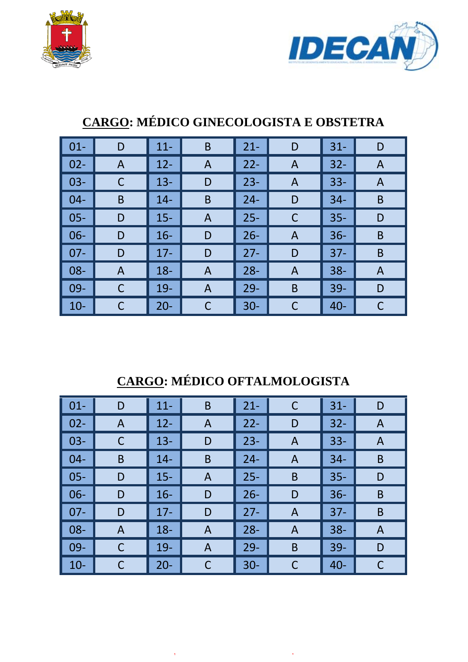



| $01 -$ | D              | $11 -$ | B | $21 -$ | D            | $31 -$ | D |
|--------|----------------|--------|---|--------|--------------|--------|---|
| $02 -$ | $\overline{A}$ | $12 -$ | A | $22 -$ | A            | $32 -$ | A |
| $03 -$ |                | $13 -$ | D | $23 -$ | $\mathsf{A}$ | $33 -$ | A |
| $04 -$ | B              | $14 -$ | B | $24 -$ | D            | $34 -$ | B |
| $05 -$ | D              | $15 -$ | A | $25 -$ | $\mathsf C$  | $35 -$ | D |
| $06 -$ | D              | $16 -$ | D | $26 -$ | A            | $36 -$ | B |
| $07 -$ | D              | $17 -$ | D | $27 -$ | D            | $37 -$ | B |
| 08-    | A              | $18 -$ | A | $28 -$ | A            | $38 -$ | A |
| $09 -$ | С              | $19-$  | A | $29 -$ | B            | $39-$  | D |
| $10-$  |                | $20 -$ | C | $30 -$ | C            | $40 -$ |   |

## **CARGO: MÉDICO GINECOLOGISTA E OBSTETRA**

# **CARGO: MÉDICO OFTALMOLOGISTA**

| $\vert$ 01- | D           | $11 -$ | B | $21 -$ | $\mathsf C$ | $31 -$ | D |
|-------------|-------------|--------|---|--------|-------------|--------|---|
| $02 -$      | A           | $12 -$ | A | $22 -$ | D           | $32 -$ | A |
| $03 -$      |             | $13 -$ | D | $23 -$ | A           | $33 -$ | A |
| $04 -$      | B           | $14 -$ | B | $24 -$ | A           | $34 -$ | B |
| $05 -$      | D           | $15 -$ | A | $25 -$ | B           | $35 -$ | D |
| $06 -$      | D           | $16 -$ | D | $26 -$ | D           | $36 -$ | B |
| $07 -$      | D           | $17 -$ | D | $27 -$ | A           | $37 -$ | B |
| $08 -$      | A           | $18 -$ | A | $28 -$ | A           | $38 -$ | A |
| $09-$       | $\mathsf C$ | $19-$  | A | $29 -$ | B           | $39 -$ | D |
| $10-$       |             | $20 -$ | C | $30 -$ | С           | $40 -$ | С |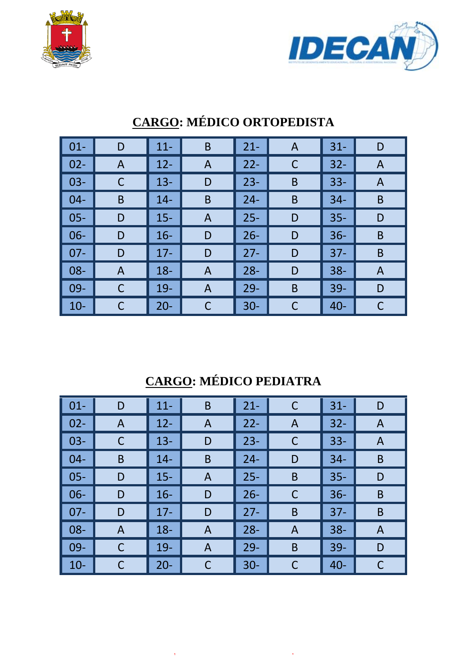



| $\vert$ 01- | D | $11 -$ | B            | $21 -$ | $\mathsf{A}$ | $31 -$ | D |
|-------------|---|--------|--------------|--------|--------------|--------|---|
| $02 -$      | A | $12 -$ | $\mathsf{A}$ | $22 -$ | C            | $32 -$ | A |
| $03 -$      | C | $13 -$ | D            | $23 -$ | B            | $33 -$ | A |
| $04-$       | B | $14 -$ | B            | $24 -$ | B            | $34 -$ | B |
| $05 -$      | D | $15 -$ | A            | $25 -$ | D            | $35 -$ | D |
| $06 -$      | D | $16 -$ | D            | $26 -$ | D            | $36 -$ | B |
| $07 -$      | D | $17 -$ | D            | $27 -$ | D            | $37 -$ | B |
| $08 -$      | A | $18 -$ | A            | $28 -$ | D            | $38 -$ | A |
| $09-$       | С | $19-$  | A            | $29 -$ | B            | 39-    | D |
| $10 -$      | C | $20 -$ | C            | $30 -$ | C            | $40 -$ | С |

# **CARGO: MÉDICO ORTOPEDISTA**

# **CARGO: MÉDICO PEDIATRA**

| $\vert$ 01- | D | $11 -$ | B           | $21 -$ | C | $31 -$ | D            |
|-------------|---|--------|-------------|--------|---|--------|--------------|
| $02 -$      | A | $12 -$ | A           | $22 -$ | A | $32 -$ | $\mathsf{A}$ |
| $03 -$      |   | $13 -$ | D           | $23 -$ | C | $33 -$ | A            |
| $04 -$      | B | $14 -$ | B           | $24 -$ | D | $34 -$ | B            |
| $05 -$      | D | $15 -$ | A           | $25 -$ | B | $35 -$ | D            |
| $06 -$      | D | $16 -$ | D           | $26 -$ | C | $36 -$ | B            |
| $07 -$      | D | $17 -$ | D           | $27 -$ | B | $37 -$ | B            |
| $08 -$      | A | $18 -$ | A           | $28 -$ | A | $38 -$ | A            |
| $09 -$      | С | $19-$  | A           | $29-$  | B | $39-$  | D            |
| $10 -$      |   | $20 -$ | $\mathsf C$ | $30 -$ | С | $40 -$ | C            |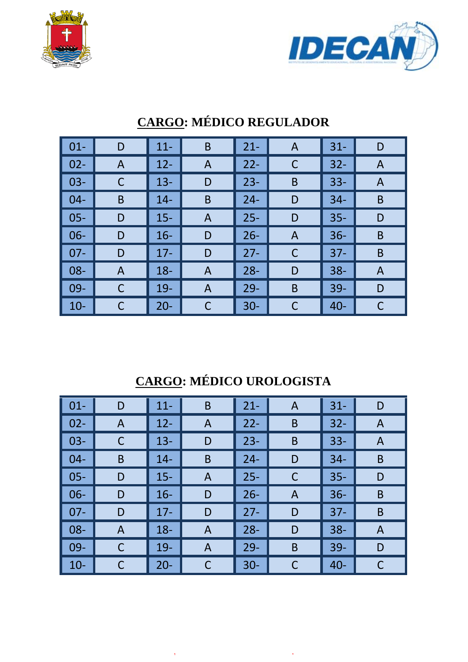



| $\vert 01 -$ | D | $11 -$ | B              | $21 -$ | $\overline{A}$ | $31 -$ | D |
|--------------|---|--------|----------------|--------|----------------|--------|---|
| $\vert$ 02-  | A | $12 -$ | A              | $22 -$ | C              | $32 -$ | A |
| $\vert$ 03-  |   | $13 -$ | D              | $23 -$ | B              | $33 -$ | A |
| $\vert$ 04-  | B | $14 -$ | B              | $24 -$ | D              | $34 -$ | B |
| $\vert$ 05-  | D | $15 -$ | A              | $25 -$ | D              | $35 -$ | D |
| $\vert$ 06-  | D | $16 -$ | D              | $26 -$ | Α              | $36 -$ | B |
| ▌ 07-        | D | $17 -$ | D              | $27 -$ | C              | $37 -$ | B |
| $\vert$ 08-  | A | $18 -$ | A              | $28 -$ | D              | $38 -$ | A |
| $\vert$ 09-  |   | $19 -$ | $\overline{A}$ | $29 -$ | B              | $39 -$ | D |
| $\vert$ 10-  |   | $20 -$ | С              | $30 -$ | C              | $40 -$ | С |

# **CARGO: MÉDICO REGULADOR**

# **CARGO: MÉDICO UROLOGISTA**

| $\vert$ 01-        | D | $11 -$ | B | $21 -$ | A | $31 -$ | D |
|--------------------|---|--------|---|--------|---|--------|---|
| $\vert$ 02-        | A | $12 -$ | A | $22 -$ | B | $32 -$ | A |
| $\vert$ 03-        |   | $13 -$ | D | $23 -$ | B | $33 -$ | A |
| $\blacksquare$ 04- | B | $14 -$ | B | $24 -$ | D | $34 -$ | B |
| $\vert$ 05-        | D | $15 -$ | A | $25 -$ | C | $35 -$ | D |
| $\vert$ 06-        | D | $16 -$ | D | $26 -$ | A | $36 -$ | B |
| $\vert$ 07-        | D | $17 -$ | D | $27 -$ | D | $37 -$ | B |
| $\vert$ 08-        | A | $18 -$ | A | $28 -$ | D | $38 -$ | A |
| $\vert$ 09-        | С | $19 -$ | A | $29 -$ | B | $39-$  | D |
| $\vert$ 10-        |   | $20 -$ | C | $30 -$ | C | $40 -$ | C |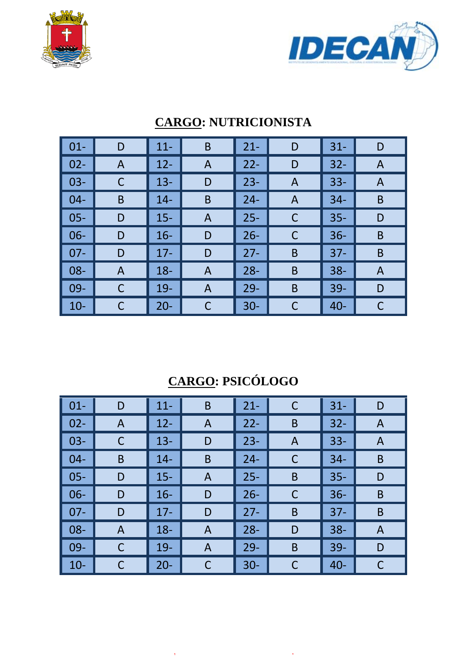



| $\vert$ 01-     | D | $11 -$ | B | $21 -$ | D | $31 -$ | D |
|-----------------|---|--------|---|--------|---|--------|---|
| $\vert$ 02-     | A | $12 -$ | A | $22 -$ | D | $32 -$ | A |
| $\vert$ 03-     | С | $13 -$ | D | $23 -$ | Α | $33 -$ | A |
| $\vert$ 04-     | B | $14 -$ | B | $24 -$ | A | $34 -$ | B |
| $\vert$ 05-     | D | $15 -$ | A | $25 -$ | C | $35 -$ | D |
| $\vert$ 06-     | D | $16 -$ | D | $26 -$ | C | $36 -$ | B |
| $\parallel$ 07- | D | $17 -$ | D | $27 -$ | B | $37 -$ | B |
| $\vert$ 08-     | A | $18 -$ | A | $28 -$ | B | $38 -$ | A |
| $\vert$ 09-     |   | 19-    | A | $29 -$ | B | $39 -$ | D |
| $\vert$ 10-     |   | $20 -$ | C | $30 -$ | C | $40 -$ | C |

### **CARGO: NUTRICIONISTA**

# **CARGO: PSICÓLOGO**

| $\vert$ 01- | D            | $11 -$ | B | $21 -$ | C           | $31 -$ | D |
|-------------|--------------|--------|---|--------|-------------|--------|---|
| $02 -$      | $\mathsf{A}$ | $12 -$ | A | $22 -$ | B           | $32 -$ | A |
| $03-$       | C            | $13 -$ | D | $23 -$ | A           | $33 -$ | A |
| $04 -$      | B            | $14 -$ | B | $24 -$ | C           | $34 -$ | B |
| $05 -$      | D            | $15 -$ | A | $25 -$ | B           | $35 -$ | D |
| $06 -$      | D            | $16 -$ | D | $26 -$ | $\mathsf C$ | $36 -$ | B |
| $07 -$      | D            | $17 -$ | D | $27 -$ | B           | $37 -$ | B |
| $08 -$      | A            | $18 -$ | A | $28 -$ | D           | $38 -$ | A |
| $09-$       | C            | $19-$  | A | $29 -$ | B           | $39 -$ | D |
| $10-$       |              | $20 -$ | C | $30 -$ | C           | $40 -$ | C |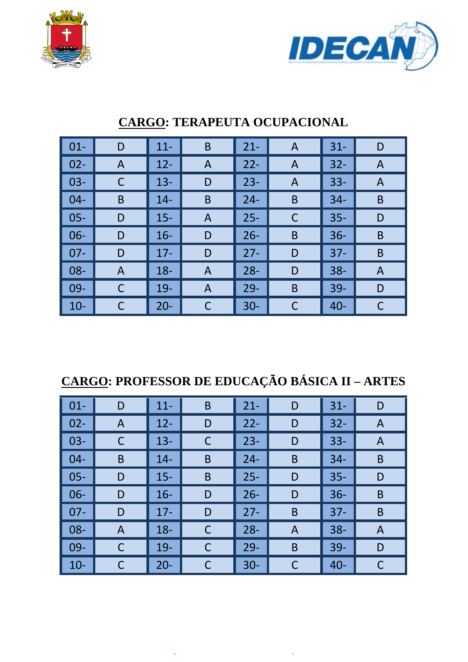



| $\vert$ 01- | D | $11 -$ | B | $21 -$ | $\mathsf{A}$ | $31 -$ | D |
|-------------|---|--------|---|--------|--------------|--------|---|
| $02 -$      | A | $12 -$ | A | $22 -$ | A            | $32 -$ | A |
| $03 -$      | C | $13 -$ | D | $23 -$ | A            | $33 -$ | A |
| $04-$       | B | $14 -$ | B | $24 -$ | B            | $34 -$ | B |
| $05 -$      | D | $15 -$ | A | $25 -$ | C            | $35 -$ | D |
| $06 -$      | D | $16 -$ | D | $26 -$ | B            | $36 -$ | B |
| $07 -$      | D | $17 -$ | D | $27 -$ | D            | $37 -$ | B |
| $08 -$      | A | $18 -$ | A | $28 -$ | D            | $38 -$ | A |
| $09 -$      | C | $19 -$ | A | $29 -$ | B            | $39 -$ | D |
| $10-$       |   | $20 -$ | C | $30 -$ | C            | $40 -$ | C |

### **CARGO: TERAPEUTA OCUPACIONAL**

# **CARGO: PROFESSOR DE EDUCAÇÃO BÁSICA II – ARTES**

| $\vert$ 01-     | D | $11 -$ | B | $21 -$ | D | $31 -$ | D |
|-----------------|---|--------|---|--------|---|--------|---|
| $\vert$ 02-     | A | $12 -$ | D | $22 -$ | D | $32 -$ | A |
| $\vert$ 03-     |   | $13 -$ | C | $23 -$ | D | $33 -$ | A |
| $\vert$ 04-     | B | $14 -$ | B | $24 -$ | B | $34 -$ | B |
| $\vert$ 05-     | D | $15 -$ | B | $25 -$ | D | $35 -$ | D |
| $\vert$ 06-     | D | $16 -$ | D | $26 -$ | D | $36 -$ | B |
| $\parallel$ 07- | D | $17 -$ | D | $27 -$ | B | $37 -$ | B |
| $\parallel$ 08- | A | $18 -$ | C | $28 -$ | A | $38 -$ | A |
| $\vert$ 09-     | C | $19-$  | C | $29 -$ | B | $39 -$ | D |
| $\vert$ 10-     |   | $20 -$ | С | $30 -$ | C | $40 -$ |   |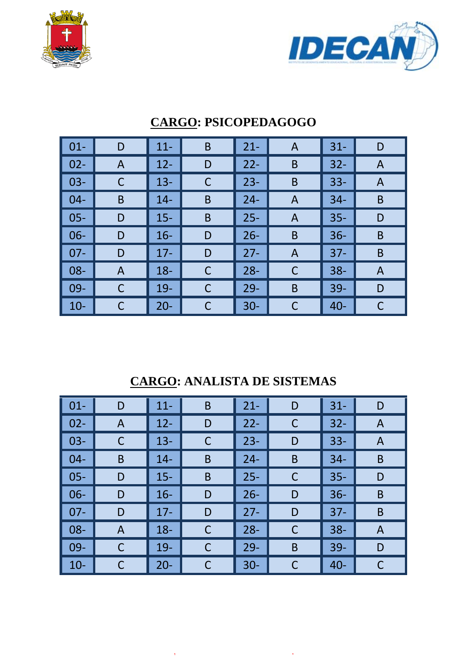



| $\vert$ 01- | D            | $11 -$ | $\mathsf B$ | $21 -$ | A | $31 -$ | D |
|-------------|--------------|--------|-------------|--------|---|--------|---|
| $02 -$      | $\mathsf{A}$ | $12 -$ | D           | $22 -$ | B | $32 -$ | A |
| $03 -$      | C            | $13 -$ | С           | $23 -$ | B | $33 -$ | A |
| $04-$       | B            | $14 -$ | B           | $24 -$ | A | $34 -$ | B |
| $05 -$      | D            | $15 -$ | B           | $25 -$ | A | $35 -$ | D |
| $06 -$      | D            | $16 -$ | D           | $26 -$ | B | $36 -$ | B |
| $07 -$      | D            | $17 -$ | D           | $27 -$ | A | $37 -$ | B |
| $08 -$      | A            | $18 -$ | С           | $28 -$ | C | $38 -$ | A |
| $09 -$      | C            | $19 -$ | C           | $29 -$ | B | $39 -$ | D |
| $10-$       | C            | $20 -$ | С           | $30 -$ | C | $40 -$ | С |

### **CARGO: PSICOPEDAGOGO**

**CARGO: ANALISTA DE SISTEMAS** 

| $\vert$ 01- | D | $11 -$ | B           | $21 -$ | D | $31 -$ | D |
|-------------|---|--------|-------------|--------|---|--------|---|
| $02 -$      | A | $12 -$ | D           | $22 -$ | C | $32 -$ | A |
| $03 -$      | C | $13 -$ | $\mathsf C$ | $23 -$ | D | $33 -$ | A |
| $04 -$      | B | $14 -$ | B           | $24 -$ | B | $34 -$ | B |
| $05 -$      | D | $15 -$ | B           | $25 -$ | C | $35 -$ | D |
| $06 -$      | D | $16 -$ | D           | $26 -$ | D | $36 -$ | B |
| $07 -$      | D | $17 -$ | D           | $27 -$ | D | $37 -$ | B |
| $08 -$      | A | $18 -$ | C           | $28 -$ | C | $38 -$ | A |
| $09-$       | C | $19-$  | $\mathsf C$ | $29 -$ | B | $39 -$ | D |
| $10-$       |   | $20 -$ | C           | $30 -$ | C | $40 -$ | C |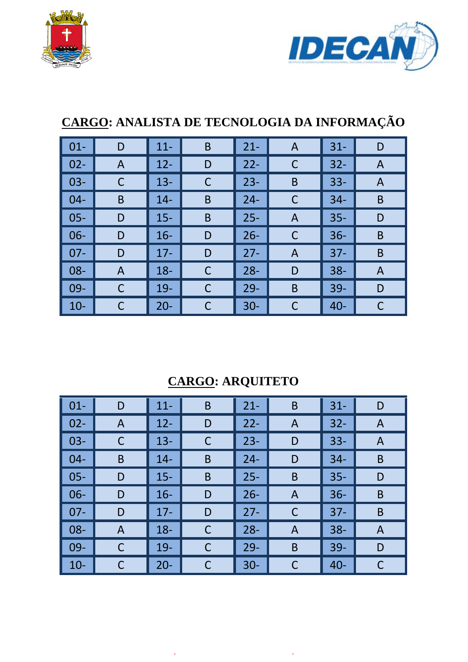



# **CARGO: ANALISTA DE TECNOLOGIA DA INFORMAÇÃO**

| $\vert$ 01-     | D | $11 -$ | $\mathsf B$ | $21 -$ | A | $31 -$ | D |
|-----------------|---|--------|-------------|--------|---|--------|---|
| $\vert$ 02-     | A | $12 -$ | D           | $22 -$ | C | $32 -$ | A |
| $\vert$ 03-     | C | $13 -$ | $\mathsf C$ | $23 -$ | B | $33 -$ | A |
| $\vert$ 04-     | B | $14 -$ | B           | $24 -$ | C | $34 -$ | B |
| $\vert$ 05-     | D | $15 -$ | $\mathsf B$ | $25 -$ | A | $35 -$ | D |
| $\vert$ 06-     | D | $16 -$ | D           | $26 -$ | C | $36 -$ | B |
| $\parallel$ 07- | D | $17 -$ | D           | $27 -$ | A | $37 -$ | B |
| $\vert$ 08-     | A | $18 -$ | $\mathsf C$ | $28 -$ | D | $38 -$ | A |
| $\vert$ 09-     | C | $19-$  | $\mathsf C$ | $29-$  | B | $39 -$ | D |
| $\vert$ 10-     |   | $20 -$ | C           | $30 -$ | C | $40 -$ |   |

## **CARGO: ARQUITETO**

| $\vert$ 01- | D | $11 -$ | B           | $21 -$ | B | $31 -$ | D |
|-------------|---|--------|-------------|--------|---|--------|---|
| $02 -$      | A | $12 -$ | D           | $22 -$ | A | $32 -$ | A |
| $03 -$      |   | $13 -$ | C           | $23 -$ | D | $33 -$ | A |
| $04 -$      | B | $14 -$ | B           | $24 -$ | D | $34 -$ | B |
| $05 -$      | D | $15 -$ | B           | $25 -$ | B | $35 -$ | D |
| $06 -$      | D | $16 -$ | D           | $26 -$ | A | $36 -$ | B |
| $07 -$      | D | $17 -$ | D           | $27 -$ | С | $37 -$ | B |
| $08 -$      | A | $18 -$ | $\mathsf C$ | $28 -$ | A | $38 -$ | A |
| $09 -$      | C | $19-$  | C           | $29-$  | B | $39-$  | D |
| $10-$       |   | $20 -$ | C           | $30 -$ | C | $40 -$ | C |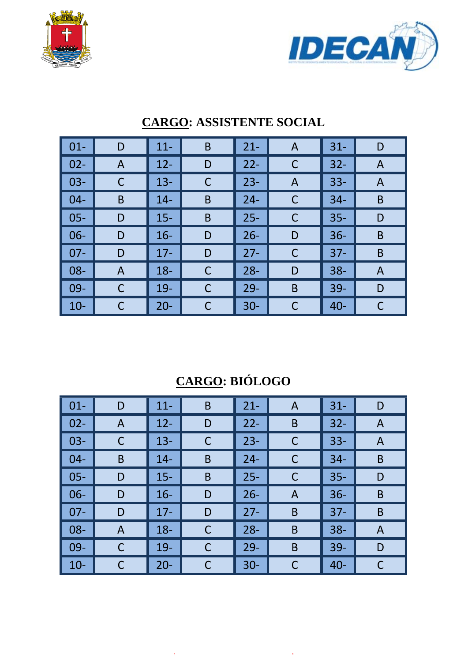



| $01 -$ | D           | $11 -$ | B | $21 -$ | A | $31 -$ | D |
|--------|-------------|--------|---|--------|---|--------|---|
| $02 -$ | A           | $12 -$ | D | $22 -$ | C | $32 -$ | A |
| $03 -$ | C           | $13 -$ | C | $23 -$ | Α | $33 -$ | A |
| $04-$  | B           | $14 -$ | B | $24 -$ | C | $34 -$ | B |
| $05 -$ | D           | $15 -$ | B | $25 -$ | C | $35 -$ | D |
| $06 -$ | D           | $16 -$ | D | $26 -$ | D | $36 -$ | B |
| $07 -$ | D           | $17 -$ | D | $27 -$ | C | $37 -$ | B |
| $08 -$ | A           | $18 -$ | C | $28 -$ | D | $38 -$ | A |
| 09-    | $\mathsf C$ | 19-    | C | $29 -$ | B | 39-    | D |
| $10 -$ | C           | $20 -$ | C | $30 -$ | C | $40 -$ | С |

### **CARGO: ASSISTENTE SOCIAL**

# **CARGO: BIÓLOGO**

| $\vert$ 01-  | D | $11 -$ | B           | $21 -$ | A | $31 -$ | D |
|--------------|---|--------|-------------|--------|---|--------|---|
| $\vert$ 02-  | A | $12 -$ | D           | $22 -$ | B | $32 -$ | A |
| $\vert$ 03-  |   | $13 -$ | C           | $23 -$ | C | $33 -$ | A |
| $\vert$ 04-  | B | $14 -$ | B           | $24 -$ | C | $34 -$ | B |
| $\vert$ 05-  | D | $15 -$ | B           | $25 -$ | C | $35 -$ | D |
| $\vert$ 06-  | D | $16 -$ | D           | $26 -$ | A | $36 -$ | B |
| $\vert$ 07-  | D | $17 -$ | D           | $27 -$ | B | $37 -$ | B |
| $\vert$ 08-  | A | $18 -$ | $\mathsf C$ | $28 -$ | B | $38 -$ | A |
| $\vert 09 -$ | C | $19-$  | C           | $29 -$ | B | $39-$  | D |
| $\vert$ 10-  |   | $20 -$ | С           | $30 -$ | C | $40 -$ | C |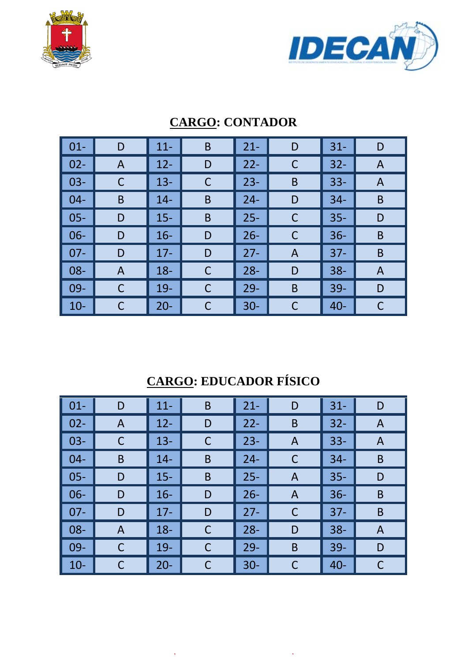



| $01 -$ | D | $11 -$ | B | $21 -$ | D | $31 -$ | D |
|--------|---|--------|---|--------|---|--------|---|
| $02 -$ | A | $12 -$ | D | $22 -$ | C | $32 -$ | A |
| $03 -$ | C | $13 -$ | С | $23 -$ | B | $33 -$ | A |
| $04 -$ | B | $14 -$ | B | $24 -$ | D | $34 -$ | B |
| $05 -$ | D | $15 -$ | B | $25 -$ | C | $35 -$ | D |
| $06 -$ | D | $16 -$ | D | $26 -$ | C | $36 -$ | B |
| $07 -$ | D | $17 -$ | D | $27 -$ | A | $37 -$ | B |
| $08 -$ | A | $18 -$ | C | $28 -$ | D | $38 -$ | A |
| $09 -$ |   | $19-$  | С | $29 -$ | B | $39 -$ | D |
| $10-$  |   | $20 -$ | С | $30 -$ | C | $40 -$ | С |

### **CARGO: CONTADOR**

# **CARGO: EDUCADOR FÍSICO**

| $\vert$ 01- | D            | $11 -$ | $\mathsf B$ | $21 -$ | D | $31 -$ | D |
|-------------|--------------|--------|-------------|--------|---|--------|---|
| $02 -$      | $\mathsf{A}$ | $12 -$ | D           | $22 -$ | B | $32 -$ | A |
| $03 -$      | C            | $13 -$ | $\mathsf C$ | $23 -$ | A | $33 -$ | A |
| $04 -$      | B            | $14 -$ | B           | $24 -$ | C | $34 -$ | B |
| $05 -$      | D            | $15 -$ | B           | $25 -$ | A | $35 -$ | D |
| $06 -$      | D            | $16 -$ | D           | $26 -$ | A | $36 -$ | B |
| $07 -$      | D            | $17 -$ | D           | $27 -$ | C | $37 -$ | B |
| $08 -$      | A            | $18 -$ | $\mathsf C$ | $28 -$ | D | $38 -$ | A |
| $09-$       | C            | $19-$  | $\mathsf C$ | $29-$  | B | $39 -$ | D |
| $10 -$      |              | $20 -$ | C           | $30 -$ | C | $40 -$ | C |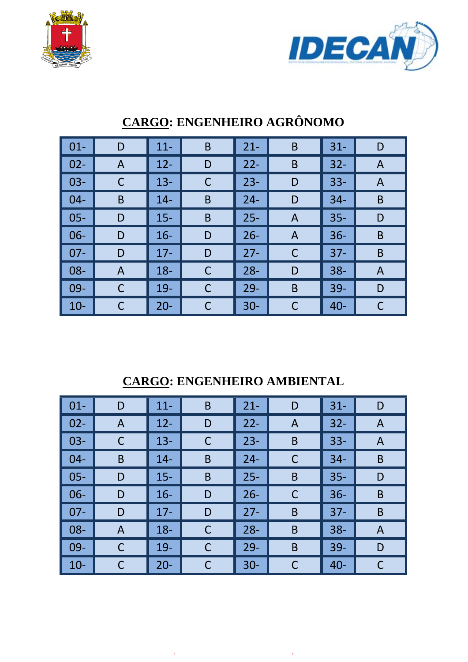



| $\vert$ 01-     | D | $11 -$ | B | $21 -$ | B | $31 -$ | D |
|-----------------|---|--------|---|--------|---|--------|---|
| $\vert$ 02-     | A | $12 -$ | D | $22 -$ | B | $32 -$ | A |
| $\vert$ 03-     |   | $13 -$ | С | $23 -$ | D | $33 -$ | A |
| $\vert$ 04-     | B | $14 -$ | B | $24 -$ | D | $34 -$ | B |
| $\vert$ 05-     | D | $15 -$ | B | $25 -$ | A | $35 -$ | D |
| $\vert$ 06-     | D | $16 -$ | D | $26 -$ | A | $36 -$ | B |
| $\parallel$ 07- | D | $17 -$ | D | $27 -$ | C | $37 -$ | B |
| $\vert$ 08-     | A | $18 -$ | C | $28 -$ | D | $38 -$ | A |
| $\vert$ 09-     |   | $19 -$ | C | $29 -$ | B | $39 -$ | D |
| $\vert$ 10-     |   | $20 -$ | С | $30 -$ | C | $40 -$ | C |

# **CARGO: ENGENHEIRO AGRÔNOMO**

### **CARGO: ENGENHEIRO AMBIENTAL**

| $\vert$ 01- | D | $11 -$ | B | $21 -$ | D           | $31 -$ | D |
|-------------|---|--------|---|--------|-------------|--------|---|
| $02 -$      | A | $12 -$ | D | $22 -$ | A           | $32 -$ | A |
| $03 -$      | C | $13 -$ | C | $23 -$ | B           | $33 -$ | A |
| $04 -$      | B | $14 -$ | B | $24 -$ | С           | $34 -$ | B |
| $05 -$      | D | $15 -$ | B | $25 -$ | B           | $35 -$ | D |
| $06 -$      | D | $16 -$ | D | $26 -$ | $\mathsf C$ | $36 -$ | B |
| $07 -$      | D | $17 -$ | D | $27 -$ | B           | $37 -$ | B |
| $08 -$      | A | $18 -$ | C | $28 -$ | B           | $38 -$ | A |
| $09-$       | С | $19-$  | C | $29 -$ | B           | $39-$  | D |
| $10-$       |   | $20 -$ | С | $30 -$ | С           | $40 -$ | C |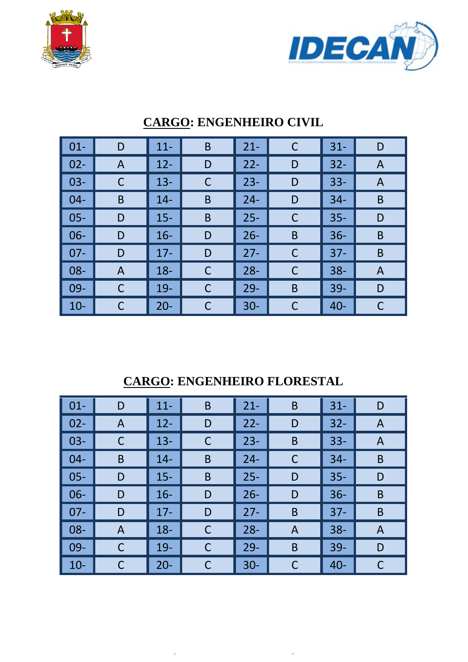



| $\vert$ 01- | D | $11 -$ | B | $21 -$ | $\mathsf C$  | $31 -$ | D |
|-------------|---|--------|---|--------|--------------|--------|---|
| $02 -$      | A | $12 -$ | D | $22 -$ | D            | $32 -$ | A |
| $03 -$      | С | $13 -$ | С | $23 -$ | D            | $33 -$ | A |
| $04 -$      | B | $14 -$ | B | $24 -$ | D            | $34-$  | B |
| $05 -$      | D | $15 -$ | B | $25 -$ | C            | $35 -$ | D |
| $06 -$      | D | $16 -$ | D | $26 -$ | B            | $36 -$ | B |
| $07 -$      | D | $17 -$ | D | $27 -$ | $\mathsf{C}$ | $37 -$ | B |
| $08 -$      | A | $18 -$ | C | $28 -$ | C            | $38 -$ | A |
| $09-$       | C | $19 -$ | С | $29 -$ | B            | $39 -$ | D |
| $10 -$      | С | $20 -$ | С | $30 -$ | C            | $40 -$ |   |

### **CARGO: ENGENHEIRO CIVIL**

### **CARGO: ENGENHEIRO FLORESTAL**

| $\vert$ 01-  | D | $11 -$ | B           | $21 -$ | B | $31 -$ | D |
|--------------|---|--------|-------------|--------|---|--------|---|
| $\vert$ 02-  | A | $12 -$ | D           | $22 -$ | D | $32 -$ | A |
| $\vert$ 03-  |   | $13 -$ | $\mathsf C$ | $23 -$ | B | $33 -$ | A |
| $\vert$ 04-  | B | $14 -$ | B           | $24 -$ | C | $34 -$ | B |
| $\vert$ 05-  | D | $15 -$ | B           | $25 -$ | D | $35 -$ | D |
| $\vert 06 -$ | D | $16 -$ | D           | $26 -$ | D | $36 -$ | B |
| $\vert$ 07-  | D | $17 -$ | D           | $27 -$ | B | $37 -$ | B |
| $\vert$ 08-  | A | $18 -$ | C           | $28 -$ | A | $38 -$ | A |
| $\vert$ 09-  | C | $19 -$ | C           | $29 -$ | B | $39-$  | D |
| $\vert$ 10-  |   | $20 -$ | С           | $30 -$ | C | $40 -$ |   |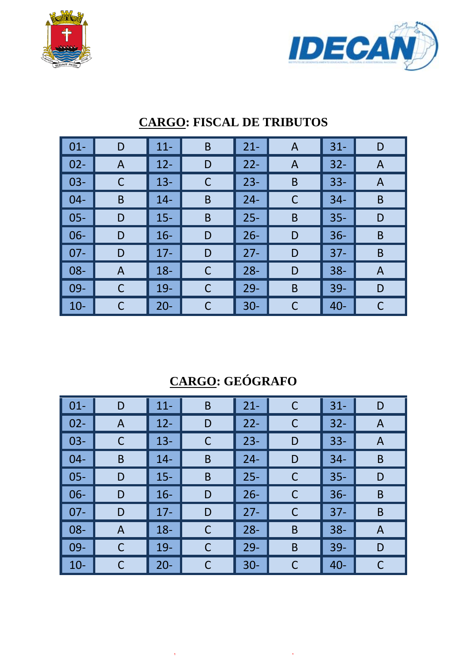



| $\vert$ 01- | D            | $11 -$ | $\mathsf B$ | $21 -$ | A | $31 -$ | D |
|-------------|--------------|--------|-------------|--------|---|--------|---|
| $02 -$      | $\mathsf{A}$ | $12 -$ | D           | $22 -$ | A | $32 -$ | A |
| $03 -$      | С            | $13 -$ | C           | $23 -$ | B | $33 -$ | A |
| $04-$       | B            | $14 -$ | B           | $24 -$ | C | $34 -$ | B |
| $05 -$      | D            | $15 -$ | B           | $25 -$ | B | $35 -$ | D |
| $06 -$      | D            | $16 -$ | D           | $26 -$ | D | $36 -$ | B |
| $07 -$      | D            | $17 -$ | D           | $27 -$ | D | $37 -$ | B |
| $08 -$      | A            | $18 -$ | $\mathsf C$ | $28 -$ | D | $38 -$ | A |
| $09-$       | C            | $19-$  | С           | $29 -$ | B | $39 -$ | D |
| $10 -$      | C            | $20 -$ | C           | $30 -$ | C | $40 -$ | С |

### **CARGO: FISCAL DE TRIBUTOS**

# **CARGO: GEÓGRAFO**

| $\vert$ 01-                                              | D | $11 -$ | B | $21 -$ | C           | $31 -$ | D |
|----------------------------------------------------------|---|--------|---|--------|-------------|--------|---|
| $\begin{array}{ c c } \hline 02 - \\ \hline \end{array}$ | A | $12 -$ | D | $22 -$ | $\mathsf C$ | $32 -$ | A |
| $\vert$ 03-                                              |   | $13 -$ | C | $23 -$ | D           | $33 -$ | A |
| $\vert$ 04-                                              | B | $14 -$ | B | $24 -$ | D           | $34 -$ | B |
| $\vert$ 05-                                              | D | $15 -$ | B | $25 -$ | C           | $35 -$ | D |
| $\vert$ 06-                                              | D | $16 -$ | D | $26 -$ | $\mathsf C$ | $36 -$ | B |
| $\vert$ 07-                                              | D | $17 -$ | D | $27 -$ | C           | $37 -$ | B |
| $\vert$ 08-                                              | A | $18 -$ | C | $28 -$ | B           | $38 -$ | A |
| $\vert$ 09-                                              | C | $19 -$ | C | $29 -$ | B           | $39 -$ | D |
| $\vert$ 10-                                              |   | $20 -$ | C | $30 -$ | C           | $40 -$ | С |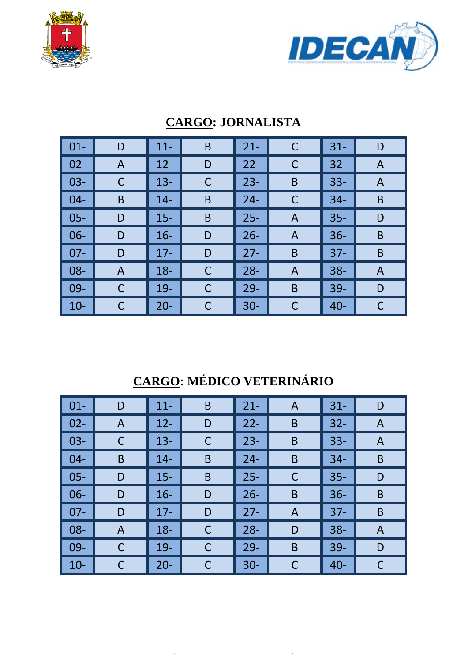



| $\boxed{01}$ | D | $11 -$ | B | $21 -$ | $\mathsf C$    | $31 -$ | D |
|--------------|---|--------|---|--------|----------------|--------|---|
| $\vert$ 02-  | A | $12 -$ | D | $22 -$ | C              | $32 -$ | A |
| $\vert$ 03-  | C | $13 -$ | C | $23 -$ | B              | $33 -$ | A |
| $\vert$ 04-  | B | $14-$  | B | $24 -$ | C              | $34 -$ | B |
| $\vert$ 05-  | D | $15 -$ | B | $25 -$ | A              | $35 -$ | D |
| $\vert$ 06-  | D | $16 -$ | D | $26 -$ | A              | $36 -$ | B |
| $\vert$ 07-  | D | $17 -$ | D | $27 -$ | B              | $37 -$ | B |
| $\vert$ 08-  | A | $18 -$ | C | $28 -$ | $\overline{A}$ | $38 -$ | A |
| $\vert$ 09-  | С | $19 -$ | С | $29 -$ | B              | 39-    | D |
| $\vert$ 10-  |   | $20 -$ | С | $30 -$ |                | $40 -$ |   |

### **CARGO: JORNALISTA**

# **CARGO: MÉDICO VETERINÁRIO**

| $\vert$ 01- | D            | $11 -$ | $\mathsf B$ | $21 -$ | A | $31 -$ | D            |
|-------------|--------------|--------|-------------|--------|---|--------|--------------|
| $02 -$      | $\mathsf{A}$ | $12 -$ | D           | $22 -$ | B | $32 -$ | $\mathsf{A}$ |
| $03 -$      | C            | $13 -$ | $\mathsf C$ | $23 -$ | B | $33 -$ | A            |
| $04 -$      | B            | $14 -$ | B           | $24 -$ | B | $34 -$ | B            |
| $05 -$      | D            | $15 -$ | B           | $25 -$ | C | $35 -$ | D            |
| $06 -$      | D            | $16 -$ | D           | $26 -$ | B | $36 -$ | B            |
| $07 -$      | D            | $17 -$ | D           | $27 -$ | A | $37 -$ | B            |
| $08 -$      | A            | $18 -$ | $\mathsf C$ | $28 -$ | D | $38 -$ | A            |
| $09-$       | С            | $19-$  | C           | $29 -$ | B | $39 -$ | D            |
| $10-$       | С            | $20 -$ | C           | $30 -$ | C | $40 -$ | C            |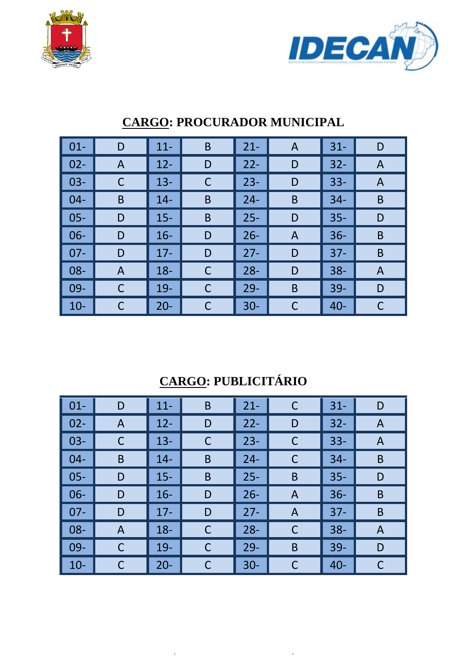



| $01 -$ | D | $11 -$ | B           | $21 -$ | $\mathsf{A}$ | $31 -$ | D |
|--------|---|--------|-------------|--------|--------------|--------|---|
| $02 -$ | A | $12 -$ | D           | $22 -$ | D            | $32 -$ | A |
| $03 -$ | C | $13 -$ | C           | $23 -$ | D            | $33 -$ | A |
| $04-$  | B | $14 -$ | B           | $24 -$ | B            | $34 -$ | B |
| $05 -$ | D | $15 -$ | B           | $25 -$ | D            | $35 -$ | D |
| $06 -$ | D | $16 -$ | D           | $26 -$ | A            | $36 -$ | B |
| $07 -$ | D | $17 -$ | D           | $27 -$ | D            | $37 -$ | B |
| $08 -$ | A | $18 -$ | $\mathsf C$ | $28 -$ | D            | $38 -$ | A |
| $09 -$ | C | 19-    | C           | $29 -$ | B            | 39-    | D |
| $10 -$ | C | $20 -$ | C           | $30 -$ | C            | $40 -$ | С |

### **CARGO: PROCURADOR MUNICIPAL**

# **CARGO: PUBLICITÁRIO**

| $\vert$ 01- | D | $11 -$ | B           | $21 -$ | C | $31 -$ | D |
|-------------|---|--------|-------------|--------|---|--------|---|
| $02 -$      | A | $12 -$ | D           | $22 -$ | D | $32 -$ | A |
| $03 -$      | C | $13 -$ | $\mathsf C$ | $23 -$ | C | $33 -$ | A |
| $04 -$      | B | $14 -$ | B           | $24 -$ | C | $34 -$ | B |
| $05 -$      | D | $15 -$ | B           | $25 -$ | B | $35 -$ | D |
| $06 -$      | D | $16 -$ | D           | $26 -$ | A | $36 -$ | B |
| $07 -$      | D | $17 -$ | D           | $27 -$ | A | $37 -$ | B |
| $08 -$      | A | $18 -$ | $\mathsf C$ | $28 -$ | C | $38 -$ | A |
| $09-$       | C | $19-$  | $\mathsf C$ | $29-$  | B | $39 -$ | D |
| $10-$       |   | $20 -$ | C           | $30 -$ | C | $40 -$ | C |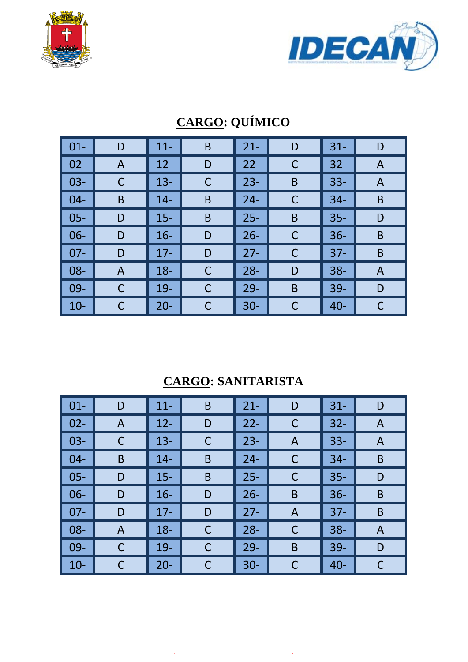



| $01 -$ | D | $11 -$ | B | $21 -$ | D | $31 -$ | D |
|--------|---|--------|---|--------|---|--------|---|
| $02 -$ | A | $12 -$ | D | $22 -$ | C | $32 -$ | A |
| $03 -$ | С | $13 -$ | С | $23 -$ | B | $33 -$ | A |
| $04 -$ | B | $14 -$ | B | $24 -$ | C | $34 -$ | B |
| $05 -$ | D | $15 -$ | B | $25 -$ | B | $35 -$ | D |
| $06 -$ | D | $16 -$ | D | $26 -$ | C | $36 -$ | B |
| $07 -$ | D | $17 -$ | D | $27 -$ | C | $37 -$ | B |
| 08-    | A | $18 -$ | C | $28 -$ | D | $38 -$ | A |
| 09-    | С | $19-$  | C | $29 -$ | B | $39 -$ | D |
| $10-$  | С | $20 -$ | С | $30 -$ | C | $40 -$ | С |

# **CARGO: QUÍMICO**

## **CARGO: SANITARISTA**

| $\vert$ 01- | D | $11 -$ | B           | $21 -$ | D | $31 -$ | D |
|-------------|---|--------|-------------|--------|---|--------|---|
| $02 -$      | A | $12 -$ | D           | $22 -$ | C | $32 -$ | A |
| $03 -$      | C | $13 -$ | $\mathsf C$ | $23 -$ | A | $33 -$ | A |
| $04 -$      | B | $14 -$ | B           | $24 -$ | C | $34 -$ | B |
| $05 -$      | D | $15 -$ | B           | $25 -$ | C | $35 -$ | D |
| $06 -$      | D | $16 -$ | D           | $26 -$ | B | $36 -$ | B |
| $07 -$      | D | $17 -$ | D           | $27 -$ | A | $37 -$ | B |
| $08 -$      | A | $18 -$ | $\mathsf C$ | $28 -$ | C | $38 -$ | A |
| $09-$       | C | $19-$  | $\mathsf C$ | $29-$  | B | $39 -$ | D |
| $10 -$      |   | $20 -$ | C           | $30 -$ | C | $40 -$ | C |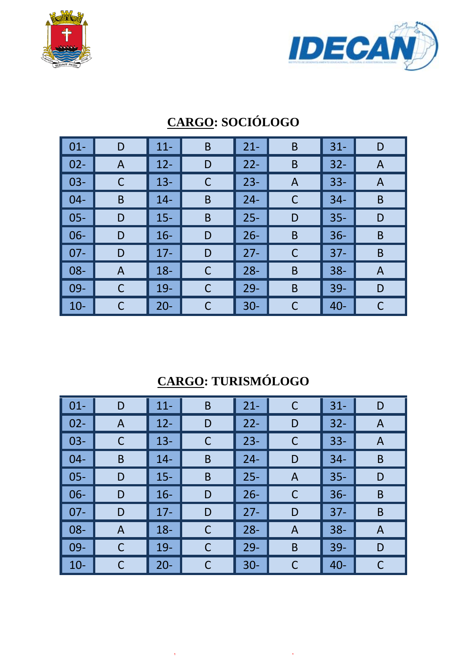



| $01 -$ | D | $11 -$ | B           | $21 -$ | B              | $31 -$ | D |
|--------|---|--------|-------------|--------|----------------|--------|---|
| $02 -$ | A | $12 -$ | D           | $22 -$ | B              | $32 -$ | A |
| $03 -$ |   | $13 -$ | С           | $23 -$ | $\overline{A}$ | $33 -$ | A |
| $04 -$ | B | $14 -$ | B           | $24 -$ | C              | $34 -$ | B |
| $05 -$ | D | $15 -$ | B           | $25 -$ | D              | $35 -$ | D |
| $06 -$ | D | $16 -$ | D           | $26 -$ | B              | $36 -$ | B |
| $07 -$ | D | $17 -$ | D           | $27 -$ | C              | $37 -$ | B |
| 08-    | A | $18 -$ | $\mathsf C$ | $28 -$ | B              | $38 -$ | A |
| 09-    | С | $19-$  | C           | $29 -$ | B              | $39 -$ | D |
| $10 -$ |   | $20 -$ | C           | $30 -$ | C              | $40 -$ | С |

# **CARGO: SOCIÓLOGO**

# **CARGO: TURISMÓLOGO**

| $\vert$ 01- | D | $11 -$ | $\mathsf B$ | $21 -$ | C | $31 -$ | D |
|-------------|---|--------|-------------|--------|---|--------|---|
| $02 -$      | A | $12 -$ | D           | $22 -$ | D | $32 -$ | A |
| $03 -$      | C | $13 -$ | $\mathsf C$ | $23 -$ | C | $33 -$ | A |
| $04 -$      | B | $14 -$ | B           | $24 -$ | D | $34 -$ | B |
| $05 -$      | D | $15 -$ | B           | $25 -$ | A | $35 -$ | D |
| $06 -$      | D | $16 -$ | D           | $26 -$ | C | $36 -$ | B |
| $07 -$      | D | $17 -$ | D           | $27 -$ | D | $37 -$ | B |
| $08 -$      | A | $18 -$ | $\mathsf C$ | $28 -$ | A | $38 -$ | A |
| $09-$       | C | $19-$  | $\mathsf C$ | $29-$  | B | $39 -$ | D |
| $10 -$      |   | $20 -$ | C           | $30 -$ | C | $40 -$ | C |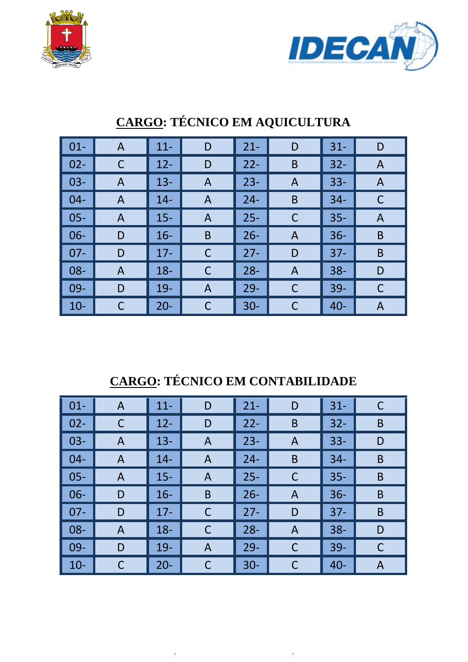



| $\vert$ 01- | A | $11 -$ | D              | $21 -$ | D | $31 -$ | D |
|-------------|---|--------|----------------|--------|---|--------|---|
| $02 -$      | C | $12 -$ | D              | $22 -$ | B | $32 -$ | A |
| $03 -$      | A | $13 -$ | A              | $23 -$ | A | $33 -$ | A |
| $04-$       | A | $14 -$ | A              | $24 -$ | B | $34 -$ | C |
| $05 -$      | A | $15 -$ | A              | $25 -$ | C | $35 -$ | A |
| $06 -$      | D | $16 -$ | B              | $26 -$ | A | $36 -$ | B |
| $07 -$      | D | $17 -$ | C              | $27 -$ | D | $37 -$ | B |
| $08 -$      | A | $18 -$ | C              | $28 -$ | A | $38 -$ | D |
| $09-$       | D | $19 -$ | $\overline{A}$ | $29 -$ | C | $39 -$ | C |
| $10 -$      | C | $20 -$ | С              | $30 -$ | C | $40 -$ | Α |

# **CARGO: TÉCNICO EM AQUICULTURA**

# **CARGO: TÉCNICO EM CONTABILIDADE**

| $\vert$ 01-  | A | $11 -$ | D | $21 -$ | D | $31 -$ | C            |
|--------------|---|--------|---|--------|---|--------|--------------|
| $\vert 02 -$ |   | $12 -$ | D | $22 -$ | B | $32 -$ | B            |
| $\vert$ 03-  | A | $13 -$ | A | $23 -$ | A | $33 -$ | D            |
| $\vert$ 04-  | A | $14 -$ | A | $24 -$ | B | $34 -$ | B            |
| $\vert$ 05-  | A | $15 -$ | A | $25 -$ | C | $35 -$ | B            |
| $\vert$ 06-  | D | $16 -$ | B | $26 -$ | A | $36 -$ | B            |
| $\vert$ 07-  | D | $17 -$ | C | $27 -$ | D | $37 -$ | B            |
| $\vert$ 08-  | A | $18 -$ | C | $28 -$ | A | $38 -$ | D            |
| $  09 -$     | D | $19-$  | A | $29 -$ | C | 39-    | $\mathsf{C}$ |
| $\vert$ 10-  |   | $20 -$ | C | $30 -$ | С | $40 -$ | A            |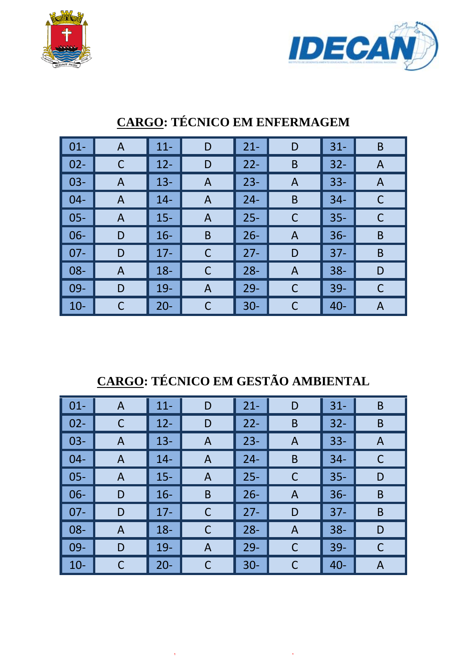



| $\vert$ 01- | A | $11 -$ | D | $21 -$ | D              | $31 -$ | B |
|-------------|---|--------|---|--------|----------------|--------|---|
| $\vert$ 02- | С | $12 -$ | D | $22 -$ | B              | $32 -$ | A |
| $\vert$ 03- | A | $13 -$ | A | $23 -$ | A              | $33 -$ | A |
| $\vert$ 04- | A | $14 -$ | A | $24 -$ | B              | $34 -$ | C |
| $\vert$ 05- | A | $15 -$ | A | $25 -$ | $\mathsf{C}$   | $35 -$ | C |
| $\vert$ 06- | D | $16 -$ | B | $26 -$ | A              | $36 -$ | B |
| $\vert$ 07- | D | $17 -$ | C | $27 -$ | D              | $37 -$ | B |
| $\vert$ 08- | A | $18 -$ | C | $28 -$ | $\overline{A}$ | $38 -$ | D |
| $\vert$ 09- | D | $19-$  | A | $29 -$ | C              | $39 -$ |   |
| $\vert$ 10- |   | $20 -$ | С | $30 -$ | C              | $40 -$ | Α |

## **CARGO: TÉCNICO EM ENFERMAGEM**

# **CARGO: TÉCNICO EM GESTÃO AMBIENTAL**

| $\vert$ 01-  | A            | $11 -$ | D            | $21 -$ | D | $31 -$ | B |
|--------------|--------------|--------|--------------|--------|---|--------|---|
| $\vert$ 02-  |              | $12 -$ | D            | $22 -$ | B | $32 -$ | B |
| $\vert$ 03-  | $\mathsf{A}$ | $13 -$ | $\mathsf{A}$ | $23 -$ | A | $33 -$ | A |
| $\vert$ 04-  | A            | $14 -$ | A            | $24 -$ | B | $34 -$ | C |
| $\vert 05 -$ | A            | $15 -$ | A            | $25 -$ | C | $35 -$ | D |
| $\vert$ 06-  | D            | $16 -$ | B            | $26 -$ | A | $36 -$ | B |
| $\vert$ 07-  | D            | $17 -$ | C            | $27 -$ | D | $37 -$ | B |
| $\vert$ 08-  | A            | $18 -$ | $\mathsf C$  | $28 -$ | A | $38 -$ | D |
| $\vert$ 09-  | D            | $19-$  | A            | $29 -$ | C | $39 -$ | C |
| $\vert$ 10-  |              | $20 -$ | С            | $30 -$ | C | $40 -$ | A |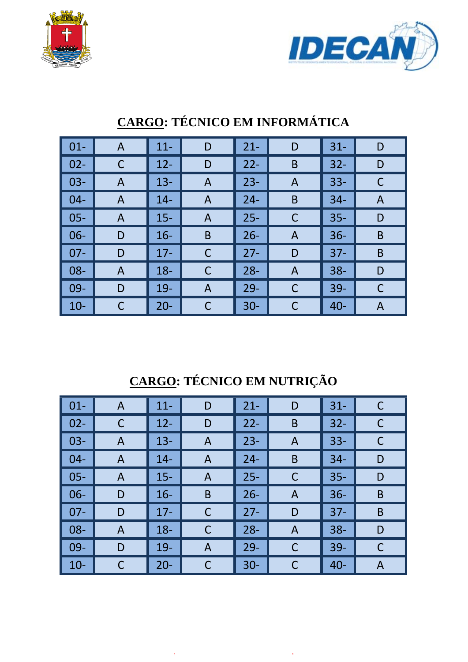



| $\vert 01 -$    | A | $11 -$ | D            | $21 -$ | D | $31 -$ | D |
|-----------------|---|--------|--------------|--------|---|--------|---|
| $\vert$ 02-     |   | $12 -$ | D            | $22 -$ | B | $32 -$ | D |
| $\vert$ 03-     | A | $13 -$ | A            | $23 -$ | A | $33 -$ |   |
| $\vert 04 -$    | A | $14 -$ | A            | $24 -$ | B | $34 -$ | A |
| $\vert$ 05-     | A | $15 -$ | A            | $25 -$ | C | $35 -$ | D |
| $\vert$ 06-     | D | $16 -$ | B            | $26 -$ | A | $36 -$ | B |
| $\vert$ 07-     | D | $17 -$ | $\mathsf{C}$ | $27 -$ | D | $37 -$ | B |
| $\vert$ 08-     | A | $18 -$ | $\mathsf C$  | $28 -$ | A | $38 -$ | D |
| $\parallel$ 09- | D | $19 -$ | A            | $29 -$ | C | $39 -$ |   |
| $\vert$ 10-     |   | $20 -$ | C            | $30 -$ | C | $40 -$ | A |

# **CARGO: TÉCNICO EM INFORMÁTICA**

# **CARGO: TÉCNICO EM NUTRIÇÃO**

| $\vert$ 01- | A | $11 -$ | D           | $21 -$ | D | $31 -$ | C            |
|-------------|---|--------|-------------|--------|---|--------|--------------|
| $02 -$      | C | $12 -$ | D           | $22 -$ | B | $32 -$ | C            |
| $03-$       | A | $13 -$ | A           | $23 -$ | A | $33 -$ | C            |
| $04 -$      | A | $14 -$ | A           | $24 -$ | B | $34 -$ | D            |
| $05 -$      | A | $15 -$ | A           | $25 -$ | C | $35 -$ | D            |
| $06-$       | D | $16 -$ | B           | $26 -$ | A | $36 -$ | B            |
| $07 -$      | D | $17 -$ | $\mathsf C$ | $27 -$ | D | $37 -$ | B            |
| $08 -$      | A | $18 -$ | $\mathsf C$ | $28 -$ | A | $38 -$ | D            |
| $09-$       | D | $19-$  | A           | $29 -$ | C | $39-$  | $\mathsf{C}$ |
| $10-$       |   | $20 -$ | $\mathsf C$ | $30 -$ | C | $40 -$ | A            |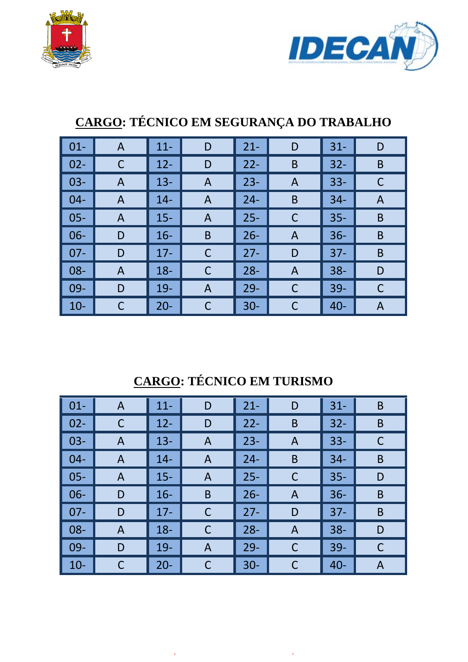



| $01 -$ | A              | $11 -$ | D              | $21 -$ | D              | $31 -$ | D |
|--------|----------------|--------|----------------|--------|----------------|--------|---|
| $02 -$ | C              | $12 -$ | D              | $22 -$ | B              | $32 -$ | B |
| $03 -$ | $\overline{A}$ | $13 -$ | $\overline{A}$ | $23 -$ | $\overline{A}$ | $33 -$ | С |
| $04 -$ | A              | $14 -$ | $\mathsf{A}$   | $24 -$ | B              | $34 -$ | A |
| $05 -$ | A              | $15 -$ | A              | $25 -$ | C              | $35 -$ | B |
| $06 -$ | D              | $16 -$ | B              | $26 -$ | $\overline{A}$ | $36 -$ | B |
| $07 -$ | D              | $17 -$ | С              | $27 -$ | D              | $37 -$ | B |
| 08-    | A              | $18 -$ | C              | $28 -$ | $\overline{A}$ | $38 -$ | D |
| $09 -$ | D              | $19-$  | A              | $29 -$ | C              | $39 -$ | C |
| $10-$  |                | $20 -$ | C              | $30 -$ | C              | $40 -$ | A |

# **CARGO: TÉCNICO EM SEGURANÇA DO TRABALHO**

# **CARGO: TÉCNICO EM TURISMO**

| $\vert$ 01-     | A | $11 -$ | D           | $21 -$ | D            | $31 -$ | B |
|-----------------|---|--------|-------------|--------|--------------|--------|---|
| $\vert$ 02-     | C | $12 -$ | D           | $22 -$ | B            | $32 -$ | B |
| $\vert$ 03-     | A | $13 -$ | A           | $23 -$ | A            | $33 -$ | C |
| $\vert 04 -$    | A | $14 -$ | A           | $24 -$ | B            | $34 -$ | B |
| $\vert$ 05-     | A | $15 -$ | A           | $25 -$ | C            | $35 -$ | D |
| $\vert$ 06-     | D | $16 -$ | B           | $26 -$ | A            | $36 -$ | B |
| $\vert$ 07-     | D | $17 -$ | $\mathsf C$ | $27 -$ | D            | $37 -$ | B |
| $\parallel$ 08- | A | $18 -$ | C           | $28 -$ | $\mathsf{A}$ | $38 -$ | D |
| $\vert$ 09-     | D | $19 -$ | A           | $29 -$ | $\mathsf C$  | $39 -$ | C |
| $\vert$ 10-     |   | $20 -$ | C           | $30 -$ | C            | $40 -$ | A |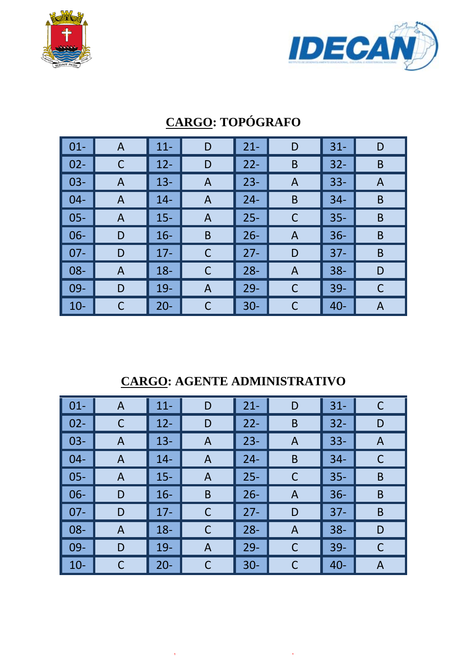



| $01 -$ | A | $11 -$ | D              | $21 -$ | D              | $31 -$ | D |
|--------|---|--------|----------------|--------|----------------|--------|---|
| $02 -$ |   | $12 -$ | D              | $22 -$ | B              | $32 -$ | B |
| $03 -$ | A | $13 -$ | A              | $23 -$ | A              | $33 -$ | A |
| $04 -$ | A | $14 -$ | A              | $24 -$ | B              | $34 -$ | B |
| $05 -$ | A | $15 -$ | A              | $25 -$ | C              | $35 -$ | B |
| $06 -$ | D | $16 -$ | B              | $26 -$ | A              | $36 -$ | B |
| $07 -$ | D | $17 -$ | С              | $27 -$ | D              | $37 -$ | B |
| 08-    | A | $18 -$ | C              | $28 -$ | $\overline{A}$ | $38 -$ | D |
| $09 -$ | D | $19-$  | $\overline{A}$ | $29 -$ | C              | $39 -$ | C |
| $10-$  |   | $20 -$ | С              | $30 -$ | C              | $40 -$ | Α |

# **CARGO: TOPÓGRAFO**

## **CARGO: AGENTE ADMINISTRATIVO**

| $\vert$ 01- | A | $11 -$ | D           | $21 -$ | D | $31 -$ | C |
|-------------|---|--------|-------------|--------|---|--------|---|
| $02 -$      | C | $12 -$ | D           | $22 -$ | B | $32 -$ | D |
| $03-$       | A | $13 -$ | A           | $23 -$ | A | $33 -$ | A |
| $04 -$      | A | $14 -$ | A           | $24 -$ | B | $34 -$ | C |
| $05 -$      | A | $15 -$ | A           | $25 -$ | C | $35 -$ | B |
| $\vert$ 06- | D | $16 -$ | B           | $26 -$ | A | $36 -$ | B |
| $07 -$      | D | $17 -$ | $\mathsf C$ | $27 -$ | D | $37 -$ | B |
| $08 -$      | A | $18 -$ | C           | $28 -$ | A | $38 -$ | D |
| $09-$       | D | $19-$  | A           | $29 -$ | C | $39-$  | C |
| $10-$       |   | $20 -$ | $\mathsf C$ | $30 -$ | С | $40 -$ | A |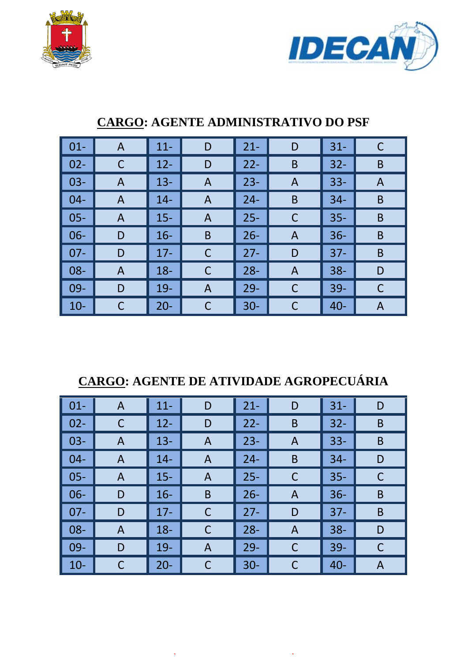



| $\vert$ 01-     | A | $11 -$ | D | $21 -$ | D | $31 -$ |   |
|-----------------|---|--------|---|--------|---|--------|---|
| $\vert$ 02-     | C | $12 -$ | D | $22 -$ | B | $32 -$ | B |
| $\vert$ 03-     | A | $13 -$ | A | $23 -$ | A | $33 -$ | A |
| $\parallel$ 04- | A | $14 -$ | A | $24 -$ | B | $34 -$ | B |
| $\vert$ 05-     | A | $15 -$ | A | $25 -$ | C | $35 -$ | B |
| $\vert$ 06-     | D | $16 -$ | B | $26 -$ | A | $36 -$ | B |
| $\parallel$ 07- | D | $17 -$ | C | $27 -$ | D | $37 -$ | B |
| $\vert$ 08-     | A | $18 -$ | C | $28 -$ | A | $38 -$ | D |
| $\vert$ 09-     | D | $19-$  | A | $29 -$ | C | $39 -$ | C |
| $\vert$ 10-     |   | $20 -$ | С | $30 -$ | C | $40 -$ | A |

### **CARGO: AGENTE ADMINISTRATIVO DO PSF**

## **CARGO: AGENTE DE ATIVIDADE AGROPECUÁRIA**

| $\vert$ 01-     | A | $11 -$ | D | $21 -$ | D           | $31 -$ | D |
|-----------------|---|--------|---|--------|-------------|--------|---|
| $\vert$ 02-     |   | $12 -$ | D | $22 -$ | B           | $32 -$ | B |
| $\vert$ 03-     | A | $13 -$ | A | $23 -$ | A           | $33 -$ | B |
| $\vert$ 04-     | A | $14 -$ | A | $24 -$ | B           | $34 -$ | D |
| $\vert$ 05-     | A | $15 -$ | A | $25 -$ | C           | $35 -$ | C |
| $\vert$ 06-     | D | $16 -$ | B | $26 -$ | A           | $36 -$ | B |
| $\vert$ 07-     | D | $17 -$ | C | $27 -$ | D           | $37 -$ | B |
| $\vert$ 08-     | A | $18 -$ | C | $28 -$ | A           | $38 -$ | D |
| $\parallel$ 09- | D | $19-$  | A | $29 -$ | $\mathsf C$ | $39 -$ | C |
| $\vert$ 10-     |   | $20 -$ | C | $30 -$ | C           | $40 -$ | A |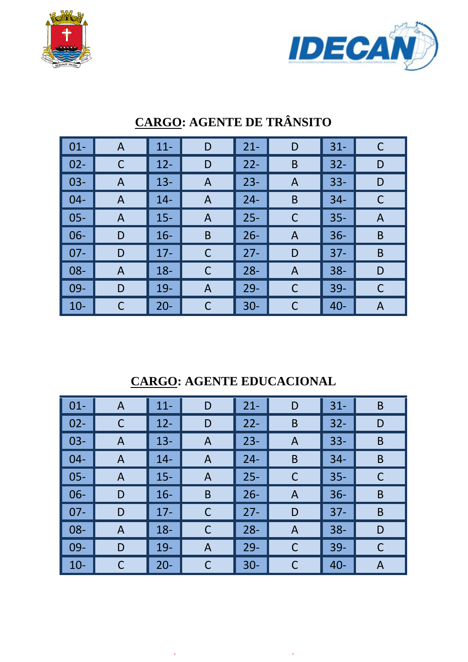



| $\vert$ 01- | $\mathsf{A}$ | $11 -$ | D | $21 -$ | D            | $31 -$ | C |
|-------------|--------------|--------|---|--------|--------------|--------|---|
| $02 -$      | C            | $12 -$ | D | $22 -$ | B            | $32 -$ | D |
| $03 -$      | A            | $13 -$ | A | $23 -$ | A            | $33 -$ | D |
| $04 -$      | A            | $14 -$ | A | $24 -$ | B            | $34 -$ | C |
| $05 -$      | A            | $15 -$ | A | $25 -$ | $\mathsf{C}$ | $35 -$ | A |
| $06 -$      | D            | $16 -$ | B | $26 -$ | A            | $36 -$ | B |
| $07 -$      | D            | $17 -$ | C | $27 -$ | D            | $37 -$ | B |
| $08 -$      | A            | $18 -$ | C | $28 -$ | A            | $38 -$ | D |
| $09 -$      | D            | $19-$  | A | $29 -$ | C            | $39 -$ | С |
| $10-$       | С            | $20 -$ | С | $30 -$ | C            | $40 -$ | A |

# **CARGO: AGENTE DE TRÂNSITO**

**CARGO: AGENTE EDUCACIONAL**

| $\vert$ 01-  | A              | $11 -$ | D           | $21 -$ | D              | $31 -$ | B |
|--------------|----------------|--------|-------------|--------|----------------|--------|---|
| $\vert$ 02-  | C              | $12 -$ | D           | $22 -$ | B              | $32 -$ | D |
| $\vert$ 03-  | $\overline{A}$ | $13 -$ | A           | $23 -$ | $\overline{A}$ | $33 -$ | B |
| $\vert 04 -$ | A              | $14 -$ | A           | $24 -$ | B              | $34 -$ | B |
| $\vert$ 05-  | A              | $15 -$ | A           | $25 -$ | C              | $35 -$ | C |
| $\vert$ 06-  | D              | $16 -$ | B           | $26 -$ | A              | $36 -$ | B |
| $\vert$ 07-  | D              | $17 -$ | C           | $27 -$ | D              | $37 -$ | B |
| $\vert$ 08-  | A              | $18 -$ | $\mathsf C$ | $28 -$ | A              | $38 -$ | D |
| $\vert$ 09-  | D              | $19-$  | A           | $29 -$ | C              | $39-$  | C |
| $\vert$ 10-  |                | $20 -$ | $\mathsf C$ | $30-$  | С              | $40 -$ | A |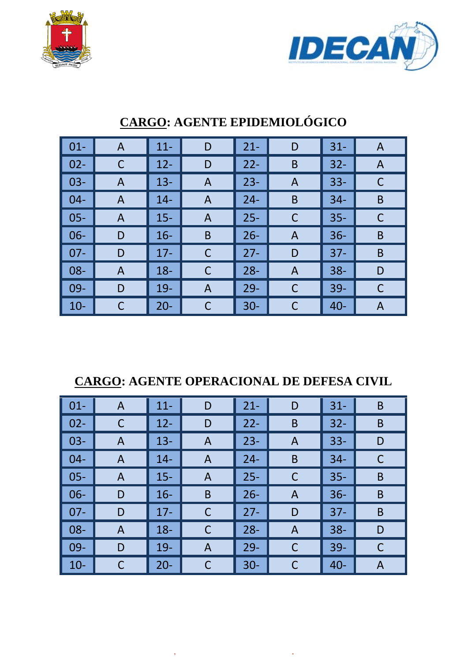



| $\vert$ 01- | A | $11 -$ | D | $21 -$ | D | $31 -$ | A |
|-------------|---|--------|---|--------|---|--------|---|
| $02 -$      | C | $12 -$ | D | $22 -$ | B | $32 -$ | A |
| $03 -$      | A | $13 -$ | A | $23 -$ | Α | $33 -$ | С |
| $04 -$      | A | $14 -$ | A | $24 -$ | B | $34 -$ | B |
| $05 -$      | A | $15 -$ | A | $25 -$ | C | $35 -$ |   |
| $06 -$      | D | $16 -$ | B | $26 -$ | A | $36 -$ | B |
| $07 -$      | D | $17 -$ | C | $27 -$ | D | $37 -$ | B |
| $08 -$      | A | $18 -$ | C | $28 -$ | A | $38 -$ | D |
| $09 -$      | D | $19-$  | A | $29 -$ | C | $39 -$ | C |
| $10-$       | C | $20 -$ | C | $30 -$ | C | $40 -$ | A |

## **CARGO: AGENTE EPIDEMIOLÓGICO**

### **CARGO: AGENTE OPERACIONAL DE DEFESA CIVIL**

| $\vert$ 01- | $\mathsf{A}$ | $11 -$ | D            | $21 -$ | D | $31 -$ | B |
|-------------|--------------|--------|--------------|--------|---|--------|---|
| $\vert$ 02- |              | $12 -$ | D            | $22 -$ | B | $32 -$ | B |
| $\vert$ 03- | $\mathsf{A}$ | $13 -$ | $\mathsf{A}$ | $23 -$ | A | $33 -$ | D |
| $\vert$ 04- | A            | $14 -$ | A            | $24 -$ | B | $34 -$ | C |
| $\vert$ 05- | A            | $15 -$ | A            | $25 -$ | C | $35 -$ | B |
| $\vert$ 06- | D            | $16 -$ | B            | $26 -$ | A | $36 -$ | B |
| $\vert$ 07- | D            | $17 -$ | C            | $27 -$ | D | $37 -$ | B |
| $\vert$ 08- | $\mathsf{A}$ | $18 -$ | $\mathsf C$  | $28 -$ | A | $38 -$ | D |
| $\vert$ 09- | D            | $19-$  | A            | $29 -$ | C | $39 -$ | C |
| $\vert$ 10- |              | $20 -$ | С            | $30 -$ | C | $40 -$ | A |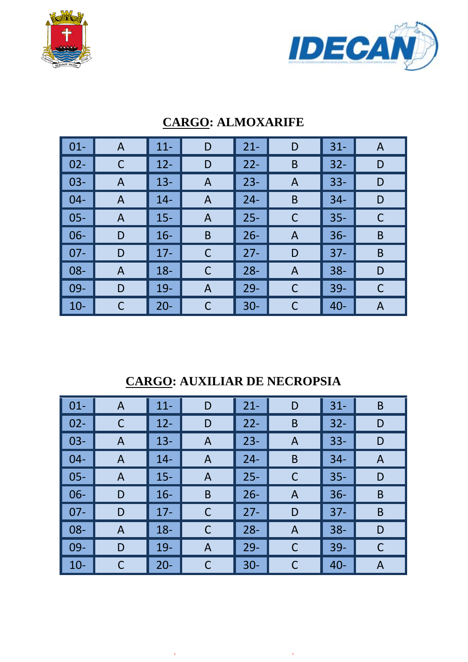



| $\vert$ 01-     | A | $11 -$ | D | $21 -$ | D | $31 -$ | A |
|-----------------|---|--------|---|--------|---|--------|---|
| $\vert$ 02-     |   | $12 -$ | D | $22 -$ | B | $32 -$ | D |
| $\vert$ 03-     | A | $13 -$ | A | $23 -$ | A | $33 -$ | D |
| $\vert$ 04-     | A | $14 -$ | A | $24 -$ | B | $34 -$ | D |
| $\vert$ 05-     | A | $15 -$ | A | $25 -$ | C | $35 -$ | C |
| $\vert$ 06-     | D | $16 -$ | B | $26 -$ | A | $36 -$ | B |
| $\parallel$ 07- | D | $17 -$ | C | $27 -$ | D | $37 -$ | B |
| $\vert$ 08-     | A | $18 -$ | C | $28 -$ | A | $38 -$ | D |
| $\vert$ 09-     | D | $19-$  | A | $29 -$ | C | $39 -$ |   |
| $\vert$ 10-     |   | $20 -$ | С | $30 -$ | C | $40 -$ | A |

### **CARGO: ALMOXARIFE**

## **CARGO: AUXILIAR DE NECROPSIA**

| $\vert$ 01- | A | $11 -$ | D           | $21 -$ | D | $31 -$ | B |
|-------------|---|--------|-------------|--------|---|--------|---|
| $02 -$      | C | $12 -$ | D           | $22 -$ | B | $32 -$ | D |
| $03 -$      | A | $13 -$ | A           | $23 -$ | A | $33 -$ | D |
| $04 -$      | A | $14 -$ | A           | $24 -$ | B | $34 -$ | A |
| $05 -$      | A | $15 -$ | A           | $25 -$ | C | $35 -$ | D |
| $06-$       | D | $16 -$ | B           | $26 -$ | A | $36 -$ | B |
| $07 -$      | D | $17 -$ | $\mathsf C$ | $27 -$ | D | $37 -$ | B |
| $08 -$      | A | $18 -$ | C           | $28 -$ | A | $38 -$ | D |
| $09-$       | D | $19-$  | A           | $29 -$ | C | $39-$  | C |
| $10-$       |   | $20 -$ | $\mathsf C$ | $30 -$ | С | $40 -$ | A |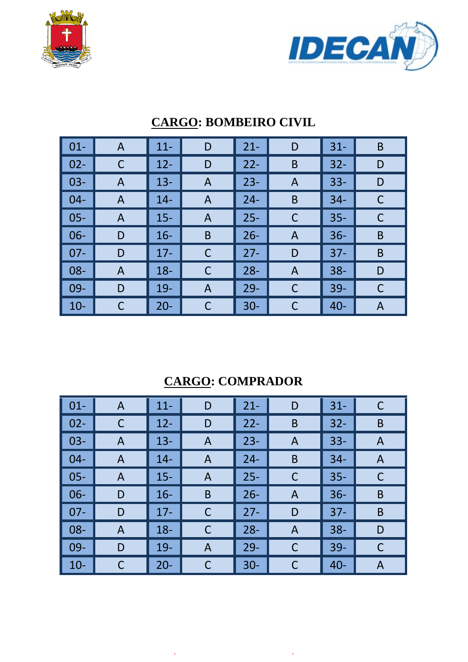



| $\vert$ 01- | A | $11 -$ | D | $21 -$ | D            | $31 -$ | B |
|-------------|---|--------|---|--------|--------------|--------|---|
| $02 -$      | C | $12 -$ | D | $22 -$ | B            | $32 -$ | D |
| $03 -$      | A | $13 -$ | A | $23 -$ | A            | $33 -$ | D |
| $04-$       | A | $14 -$ | A | $24 -$ | B            | $34 -$ | C |
| $05 -$      | A | $15 -$ | A | $25 -$ | $\mathsf{C}$ | $35 -$ | C |
| $06 -$      | D | $16 -$ | B | $26 -$ | A            | $36 -$ | B |
| $07 -$      | D | $17 -$ | C | $27 -$ | D            | $37 -$ | B |
| $08 -$      | A | $18 -$ | С | $28 -$ | A            | $38 -$ | D |
| $09-$       | D | $19-$  | A | $29 -$ | C            | $39 -$ |   |
| $10-$       | С | $20 -$ | С | $30 -$ | C            | $40 -$ | A |

### **CARGO: BOMBEIRO CIVIL**

## **CARGO: COMPRADOR**

| $\vert$ 01- | A | $11 -$ | D            | $21 -$ | D            | $31 -$ | C |
|-------------|---|--------|--------------|--------|--------------|--------|---|
| $02 -$      | C | $12 -$ | D            | $22 -$ | B            | $32 -$ | B |
| $03 -$      | A | $13 -$ | A            | $23 -$ | A            | $33 -$ | A |
| $04 -$      | A | $14 -$ | $\mathsf{A}$ | $24 -$ | B            | $34 -$ | A |
| $05 -$      | A | $15 -$ | A            | $25 -$ | C            | $35 -$ | C |
| $06 -$      | D | $16 -$ | B            | $26 -$ | A            | $36 -$ | B |
| $07 -$      | D | $17 -$ | C            | $27 -$ | D            | $37 -$ | B |
| $08 -$      | A | $18 -$ | C            | $28 -$ | A            | $38 -$ | D |
| $09-$       | D | $19-$  | A            | $29 -$ | $\mathsf{C}$ | $39-$  | C |
| $10-$       | C | $20 -$ | С            | $30 -$ | C            | $40 -$ | A |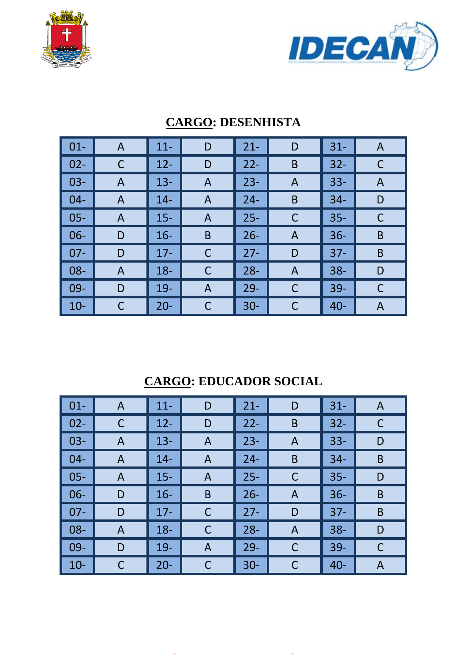



| $01 -$ | A | $11 -$ | D | $21 -$ | D | $31 -$ | A |
|--------|---|--------|---|--------|---|--------|---|
| $02 -$ |   | $12 -$ | D | $22 -$ | B | $32 -$ |   |
| $03 -$ | A | $13 -$ | A | $23 -$ | A | $33 -$ | A |
| $04 -$ | A | $14 -$ | A | $24 -$ | B | $34 -$ | D |
| $05 -$ | A | $15 -$ | A | $25 -$ | C | $35 -$ | C |
| $06 -$ | D | $16 -$ | B | $26 -$ | A | $36 -$ | B |
| $07 -$ | D | $17 -$ | C | $27 -$ | D | $37 -$ | B |
| 08-    | A | $18 -$ | C | $28 -$ | A | $38 -$ | D |
| 09-    | D | $19-$  | A | $29 -$ | C | 39-    | C |
| $10-$  |   | $20 -$ | С | $30 -$ |   | $40 -$ | A |

### **CARGO: DESENHISTA**

### **CARGO: EDUCADOR SOCIAL**

| $\vert$ 01- | A            | $11 -$ | D            | $21 -$ | D              | $31 -$ | A |
|-------------|--------------|--------|--------------|--------|----------------|--------|---|
| $02 -$      | C            | $12 -$ | D            | $22 -$ | B              | $32 -$ | C |
| $03 -$      | $\mathsf{A}$ | $13 -$ | $\mathsf{A}$ | $23 -$ | A              | $33 -$ | D |
| $04 -$      | $\mathsf{A}$ | $14 -$ | A            | $24 -$ | B              | $34 -$ | B |
| $05 -$      | A            | $15 -$ | A            | $25 -$ | $\mathsf C$    | $35 -$ | D |
| $06 -$      | D            | $16 -$ | B            | $26 -$ | A              | $36 -$ | B |
| $07 -$      | D            | $17 -$ | C            | $27 -$ | D              | $37 -$ | B |
| $08 -$      | $\mathsf{A}$ | $18 -$ | $\mathsf C$  | $28 -$ | $\overline{A}$ | $38 -$ | D |
| $09 -$      | D            | $19-$  | A            | $29 -$ | C              | $39-$  | C |
| $10-$       |              | $20 -$ | $\mathsf C$  | $30 -$ | C              | $40 -$ | A |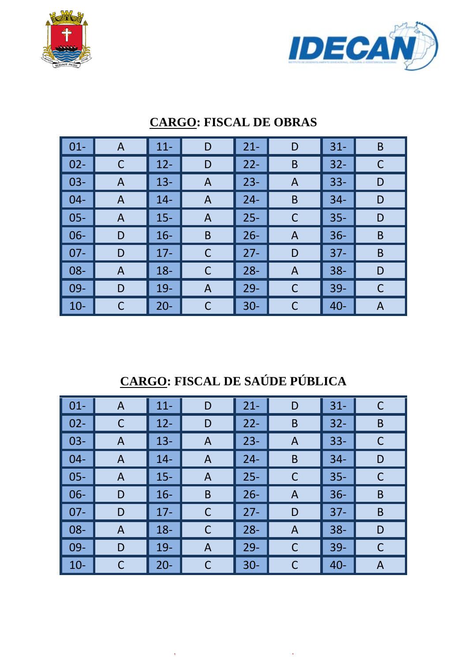



| $\vert 01 -$ | A | $11 -$ | D              | $21 -$ | D            | $31 -$ | B |
|--------------|---|--------|----------------|--------|--------------|--------|---|
| $\vert$ 02-  |   | $12 -$ | D              | $22 -$ | B            | $32 -$ |   |
| $\vert$ 03-  | A | $13 -$ | A              | $23 -$ | A            | $33 -$ | D |
| $\vert$ 04-  | A | $14 -$ | A              | $24 -$ | B            | $34 -$ | D |
| $\vert$ 05-  | A | $15 -$ | A              | $25 -$ | $\mathsf{C}$ | $35 -$ | D |
| $\vert$ 06-  | D | $16 -$ | B              | $26 -$ | A            | $36 -$ | B |
| $\vert$ 07-  | D | $17 -$ | C              | $27 -$ | D            | $37 -$ | B |
| $\vert$ 08-  | A | $18 -$ | C              | $28 -$ | A            | $38 -$ | D |
| $\vert$ 09-  | D | $19 -$ | $\overline{A}$ | $29 -$ | C            | $39 -$ |   |
| $\vert$ 10-  |   | $20 -$ | С              | $30 -$ | C            | $40 -$ | A |

### **CARGO: FISCAL DE OBRAS**

**CARGO: FISCAL DE SAÚDE PÚBLICA**

| $\vert$ 01-  | A              | $11 -$ | D           | $21 -$ | D              | $31 -$ | C |
|--------------|----------------|--------|-------------|--------|----------------|--------|---|
| $\vert$ 02-  | C              | $12 -$ | D           | $22 -$ | B              | $32 -$ | B |
| $\vert$ 03-  | $\overline{A}$ | $13 -$ | A           | $23 -$ | $\overline{A}$ | $33 -$ | C |
| $\vert 04 -$ | A              | $14 -$ | A           | $24 -$ | B              | $34 -$ | D |
| $\vert$ 05-  | A              | $15 -$ | A           | $25 -$ | C              | $35 -$ | С |
| $\vert$ 06-  | D              | $16 -$ | B           | $26 -$ | A              | $36 -$ | B |
| $\vert$ 07-  | D              | $17 -$ | C           | $27 -$ | D              | $37 -$ | B |
| $\vert$ 08-  | A              | $18 -$ | $\mathsf C$ | $28 -$ | A              | $38 -$ | D |
| $\vert$ 09-  | D              | $19-$  | A           | $29 -$ | C              | $39-$  | C |
| $\vert$ 10-  |                | $20 -$ | $\mathsf C$ | $30-$  | С              | $40 -$ | A |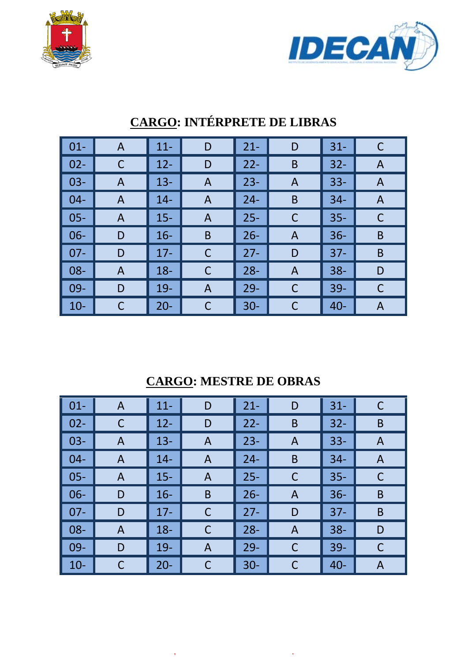



| $\vert$ 01- | $\mathsf{A}$ | $11 -$ | D           | $21 -$ | D | $31 -$ | $\mathsf C$ |
|-------------|--------------|--------|-------------|--------|---|--------|-------------|
| $02 -$      | C            | $12 -$ | D           | $22 -$ | B | $32 -$ | A           |
| $03 -$      | A            | $13 -$ | A           | $23 -$ | A | $33 -$ | A           |
| $04-$       | $\mathsf{A}$ | $14 -$ | A           | $24 -$ | B | $34 -$ | A           |
| $05 -$      | A            | $15 -$ | A           | $25 -$ | C | $35 -$ | C           |
| $06 -$      | D            | $16 -$ | B           | $26 -$ | A | $36 -$ | B           |
| $07 -$      | D            | $17 -$ | $\mathsf C$ | $27 -$ | D | $37 -$ | B           |
| $08 -$      | $\mathsf{A}$ | $18 -$ | $\mathsf C$ | $28 -$ | A | $38 -$ | D           |
| $09-$       | D            | $19 -$ | A           | $29 -$ | C | $39 -$ | C           |
| $10 -$      | C            | $20 -$ | C           | $30 -$ | C | $40 -$ | Α           |

# **CARGO: INTÉRPRETE DE LIBRAS**

## **CARGO: MESTRE DE OBRAS**

| $\vert$ 01-     | A            | $11 -$ | D           | $21 -$ | D              | $31 -$ | C |
|-----------------|--------------|--------|-------------|--------|----------------|--------|---|
| $\vert$ 02-     | C            | $12 -$ | D           | $22 -$ | B              | $32 -$ | B |
| $\vert$ 03-     | A            | $13 -$ | A           | $23 -$ | $\overline{A}$ | $33 -$ | A |
| $\vert$ 04-     | $\mathsf{A}$ | $14-$  | A           | $24 -$ | B              | $34 -$ | A |
| $\vert$ 05-     | A            | $15 -$ | A           | $25 -$ | C              | $35 -$ | C |
| $\vert$ 06-     | D            | $16 -$ | B           | $26 -$ | A              | $36 -$ | B |
| $\vert$ 07-     | D            | $17 -$ | $\mathsf C$ | $27 -$ | D              | $37 -$ | B |
| $\parallel$ 08- | A            | $18 -$ | C           | $28 -$ | A              | $38 -$ | D |
| $\vert$ 09-     | D            | $19 -$ | A           | $29 -$ | C              | $39 -$ | C |
| $\vert$ 10-     |              | $20 -$ | C           | $30 -$ | С              | $40 -$ | A |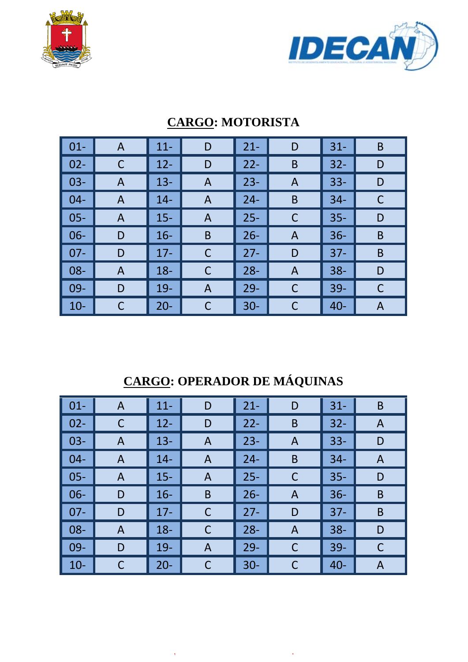



| $\vert$ 01-     | A | $11 -$ | D | $21 -$ | D | $31 -$ | B |
|-----------------|---|--------|---|--------|---|--------|---|
| $\vert$ 02-     |   | $12 -$ | D | $22 -$ | B | $32 -$ | D |
| $\vert$ 03-     | A | $13 -$ | A | $23 -$ | A | $33 -$ | D |
| $\vert$ 04-     | A | $14 -$ | A | $24 -$ | B | $34 -$ | С |
| $\vert$ 05-     | A | $15 -$ | A | $25 -$ | C | $35 -$ | D |
| $\vert$ 06-     | D | $16 -$ | B | $26 -$ | A | $36 -$ | B |
| $\parallel$ 07- | D | $17 -$ | С | $27 -$ | D | $37 -$ | B |
| $\vert$ 08-     | A | $18 -$ | C | $28 -$ | A | $38 -$ | D |
| $\vert$ 09-     | D | $19-$  | A | $29 -$ | C | $39-$  | C |
| $\vert$ 10-     |   | $20 -$ | С | $30 -$ | C | $40 -$ | A |

### **CARGO: MOTORISTA**

# **CARGO: OPERADOR DE MÁQUINAS**

| $\vert$ 01- | A | $11 -$ | D | $21 -$ | D | $31 -$ | B |
|-------------|---|--------|---|--------|---|--------|---|
| $\vert$ 02- | C | $12 -$ | D | $22 -$ | B | $32 -$ | A |
| $\vert$ 03- | A | $13 -$ | A | $23 -$ | A | $33 -$ | D |
| $\vert$ 04- | A | $14 -$ | A | $24 -$ | B | $34 -$ | A |
| $\vert$ 05- | A | $15 -$ | A | $25 -$ | C | $35 -$ | D |
| $\vert$ 06- | D | $16 -$ | B | $26 -$ | A | $36 -$ | B |
| $\vert$ 07- | D | $17 -$ | C | $27 -$ | D | $37 -$ | B |
| $\vert$ 08- | A | $18 -$ | C | $28 -$ | A | $38 -$ | D |
| $\vert$ 09- | D | $19-$  | A | $29 -$ | C | $39 -$ | C |
| $\vert$ 10- |   | $20 -$ | C | $30 -$ | С | $40 -$ | A |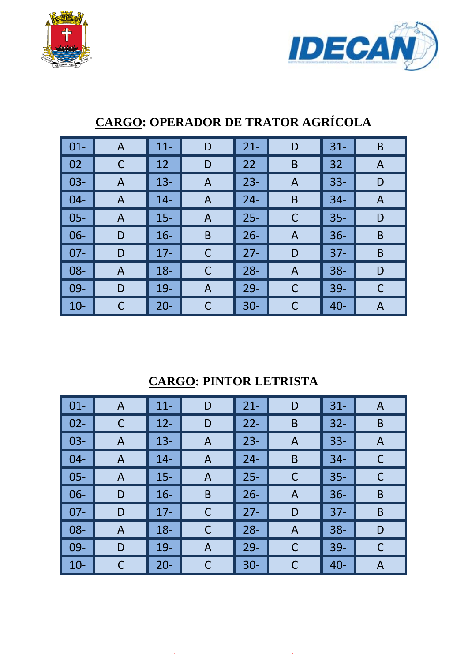



| $\vert$ 01-     | $\mathsf{A}$ | $11 -$ | D            | $21 -$ | D            | $31 -$ | B |
|-----------------|--------------|--------|--------------|--------|--------------|--------|---|
| $\vert$ 02-     |              | $12 -$ | D            | $22 -$ | B            | $32 -$ | A |
| $\vert$ 03-     | $\mathsf{A}$ | $13 -$ | $\mathsf{A}$ | $23 -$ | A            | $33 -$ | D |
| $\vert$ 04-     | A            | $14 -$ | A            | $24 -$ | B            | $34 -$ | A |
| $\vert$ 05-     | A            | $15 -$ | A            | $25 -$ | $\mathsf{C}$ | $35 -$ | D |
| $\vert$ 06-     | D            | $16 -$ | B            | $26 -$ | A            | $36 -$ | B |
| $\parallel$ 07- | D            | $17 -$ | С            | $27 -$ | D            | $37 -$ | B |
| $\vert$ 08-     | A            | $18 -$ | C            | $28 -$ | A            | $38 -$ | D |
| $\vert$ 09-     | D            | 19-    | A            | $29 -$ | C            | $39-$  | C |
| $\vert$ 10-     |              | $20 -$ | С            | $30 -$ |              | $40 -$ | A |

# **CARGO: OPERADOR DE TRATOR AGRÍCOLA**

### **CARGO: PINTOR LETRISTA**

| $\vert$ 01- | $\mathsf{A}$ | $11 -$ | D           | $21 -$ | D | $31 -$ | $\mathsf{A}$ |
|-------------|--------------|--------|-------------|--------|---|--------|--------------|
| $02 -$      | $\mathsf C$  | $12 -$ | D           | $22 -$ | B | $32 -$ | B            |
| $03-$       | $\mathsf{A}$ | $13 -$ | A           | $23 -$ | A | $33 -$ | A            |
| $04 -$      | $\mathsf{A}$ | $14-$  | A           | $24 -$ | B | $34 -$ | $\mathsf C$  |
| $05 -$      | A            | $15 -$ | A           | $25 -$ | C | $35 -$ | C            |
| $06 -$      | D            | $16 -$ | B           | $26 -$ | A | $36 -$ | B            |
| $07 -$      | D            | $17 -$ | $\mathsf C$ | $27 -$ | D | $37 -$ | B            |
| $08 -$      | A            | $18 -$ | C           | $28 -$ | A | $38 -$ | D            |
| $09-$       | D            | $19-$  | A           | $29 -$ | C | $39 -$ | C            |
| $10-$       | C            | $20 -$ | C           | $30 -$ | C | $40 -$ | A            |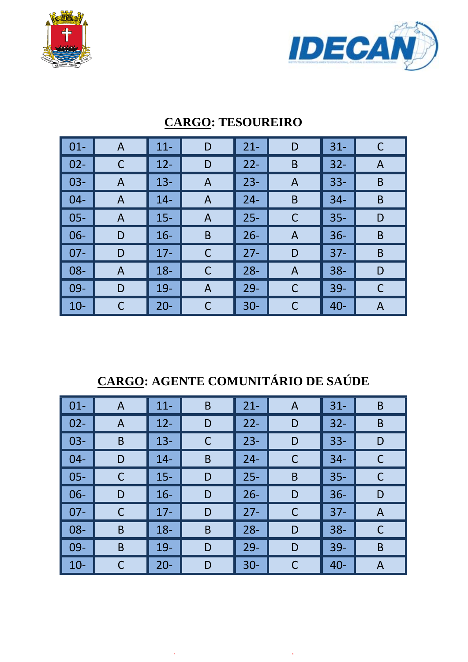



| $\vert$ 01-     | A | $11 -$ | D              | $21 -$ | D              | $31 -$ | C |
|-----------------|---|--------|----------------|--------|----------------|--------|---|
| $\vert$ 02-     |   | $12 -$ | D              | $22 -$ | B              | $32 -$ | A |
| $\vert$ 03-     | A | $13 -$ | A              | $23 -$ | A              | $33 -$ | B |
| $\vert$ 04-     | A | $14 -$ | A              | $24 -$ | B              | $34 -$ | B |
| $\vert$ 05-     | A | $15 -$ | A              | $25 -$ | C              | $35 -$ | D |
| $\vert$ 06-     | D | $16 -$ | B              | $26 -$ | A              | $36 -$ | B |
| $\parallel$ 07- | D | $17 -$ | С              | $27 -$ | D              | $37 -$ | B |
| $\vert$ 08-     | A | $18 -$ | С              | $28 -$ | $\overline{A}$ | $38 -$ | D |
| $\vert$ 09-     | D | $19 -$ | $\overline{A}$ | $29 -$ | C              | $39 -$ | C |
| $\vert$ 10-     |   | $20 -$ | С              | $30 -$ | C              | $40 -$ | A |

### **CARGO: TESOUREIRO**

## **CARGO: AGENTE COMUNITÁRIO DE SAÚDE**

| $\vert$ 01- | $\mathsf{A}$ | $11 -$ | B | $21 -$ | A | $31 -$ | B |
|-------------|--------------|--------|---|--------|---|--------|---|
| $\vert$ 02- | A            | $12 -$ | D | $22 -$ | D | $32 -$ | B |
| $\vert$ 03- | B            | $13 -$ | C | $23 -$ | D | $33 -$ | D |
| $\vert$ 04- | D            | $14 -$ | B | $24 -$ | C | $34 -$ | С |
| $\vert$ 05- |              | $15 -$ | D | $25 -$ | B | $35 -$ | C |
| $\vert$ 06- | D            | $16 -$ | D | $26 -$ | D | $36 -$ | D |
| $\vert$ 07- |              | $17 -$ | D | $27 -$ | C | $37 -$ | A |
| $\vert$ 08- | B            | $18 -$ | B | $28 -$ | D | $38 -$ | C |
| $\vert$ 09- | B            | $19-$  | D | $29 -$ | D | $39 -$ | B |
| $\vert$ 10- |              | $20 -$ | D | $30 -$ | C | $40 -$ | A |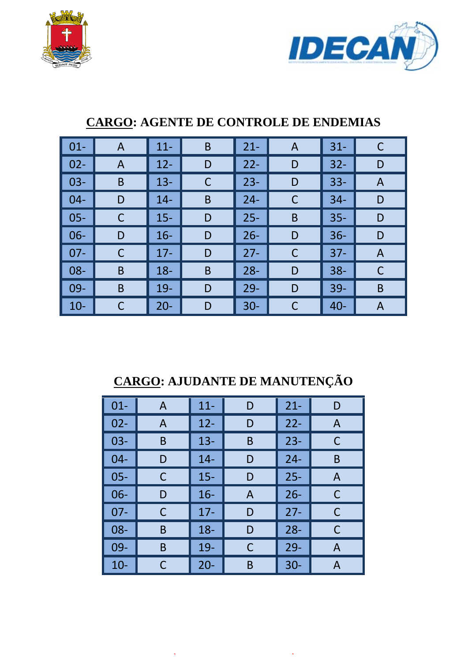



| $01 -$ | A | $11 -$ | B | $21 -$ | A | $31 -$ | C |
|--------|---|--------|---|--------|---|--------|---|
| $02 -$ | A | $12 -$ | D | $22 -$ | D | $32 -$ | D |
| $03 -$ | B | $13 -$ | C | $23 -$ | D | $33 -$ | A |
| $04 -$ | D | $14 -$ | B | $24 -$ | C | $34-$  | D |
| $05 -$ | C | $15 -$ | D | $25 -$ | B | $35 -$ | D |
| $06 -$ | D | $16 -$ | D | $26 -$ | D | $36 -$ | D |
| $07 -$ | С | $17 -$ | D | $27 -$ | C | $37 -$ | A |
| 08-    | B | $18 -$ | B | $28 -$ | D | $38 -$ | C |
| 09-    | B | $19-$  | D | $29 -$ | D | 39-    | B |
| $10 -$ |   | $20 -$ | D | $30 -$ | С | $40 -$ | A |

### **CARGO: AGENTE DE CONTROLE DE ENDEMIAS**

# **CARGO: AJUDANTE DE MANUTENÇÃO**

| $01 -$ | A | $11 -$ | D | $21 -$ | D            |
|--------|---|--------|---|--------|--------------|
| $02 -$ | A | $12 -$ | D | $22 -$ | A            |
| $03 -$ | B | $13 -$ | Β | $23 -$ | С            |
| $04 -$ | D | $14 -$ | D | $24 -$ | B            |
| $05 -$ | С | $15 -$ | D | $25 -$ | $\mathsf{A}$ |
| $06 -$ | D | $16 -$ | A | $26 -$ | С            |
| $07-$  | C | $17-$  | D | $27 -$ | С            |
| $08 -$ | B | $18 -$ | D | $28 -$ | C            |
| 09-    | B | 19-    | C | $29 -$ | A            |
| $10 -$ | С | $20 -$ | B | $30 -$ | А            |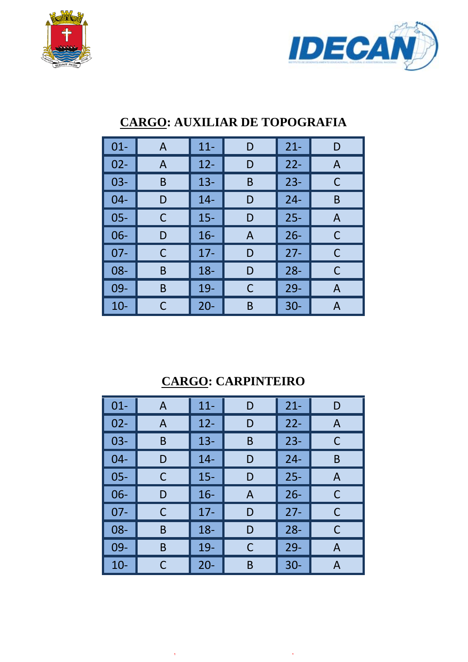



| $01 -$ | A | $11 -$ | D | $21 -$ | D |
|--------|---|--------|---|--------|---|
| $02 -$ | A | $12 -$ | D | $22 -$ | A |
| $03-$  | B | $13 -$ | B | $23 -$ | С |
| 04-    | D | $14 -$ | D | $24 -$ | B |
| $05 -$ | C | $15 -$ | D | $25 -$ | A |
| $06-$  | D | $16 -$ | A | $26 -$ | C |
| $07 -$ | C | $17 -$ | D | $27 -$ | C |
| 08-    | B | $18 -$ | D | $28 -$ | C |
| 09-    | Β | $19-$  | C | $29 -$ | A |
| $10 -$ | С | $20 -$ | B | $30 -$ | А |

## **CARGO: AUXILIAR DE TOPOGRAFIA**

## **CARGO: CARPINTEIRO**

| $01 -$ | A | $11 -$ | D | $21 -$ | D |
|--------|---|--------|---|--------|---|
| $02 -$ | A | $12 -$ | D | $22 -$ | A |
| $03 -$ | B | $13 -$ | B | $23 -$ | C |
| $04 -$ | D | $14 -$ | D | $24 -$ | B |
| $05 -$ | С | $15 -$ | D | $25 -$ | A |
| $06 -$ | D | $16 -$ | A | $26 -$ | С |
| $07 -$ | С | $17 -$ | D | $27 -$ | C |
| 08-    | B | $18 -$ | D | $28 -$ | C |
| 09-    | B | 19-    | C | $29 -$ | A |
| $10 -$ | С | $20 -$ | B | $30 -$ | А |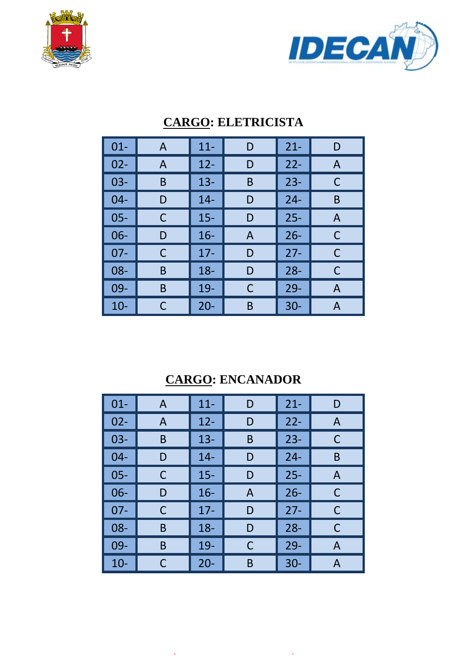



| $01 -$ | A | $11 -$ | D | $21 -$ | D |
|--------|---|--------|---|--------|---|
| $02 -$ | A | $12 -$ | D | $22 -$ | A |
| $03-$  | B | $13 -$ | B | $23 -$ | C |
| $04 -$ | D | $14 -$ | D | $24 -$ | B |
| $05 -$ | С | $15 -$ | D | $25 -$ | A |
| $06 -$ | D | $16 -$ | A | $26 -$ | C |
| $07 -$ | C | $17 -$ | D | $27 -$ | C |
| 08-    | B | $18 -$ | D | $28 -$ | С |
| 09-    | B | 19-    | C | $29 -$ | A |
| $10 -$ | С | $20 -$ | Β | $30 -$ | А |

### **CARGO: ELETRICISTA**

## **CARGO: ENCANADOR**

| $01 -$ | A | $11 -$ | D | $21 -$ | D |
|--------|---|--------|---|--------|---|
| $02 -$ | A | $12 -$ | D | $22 -$ | A |
| $03 -$ | B | $13 -$ | B | $23 -$ | С |
| $04 -$ | D | $14 -$ | D | $24 -$ | B |
| $05 -$ | С | $15 -$ | D | $25 -$ | A |
| $06 -$ | D | $16 -$ | A | $26 -$ | С |
| $07 -$ | C | $17 -$ | D | $27 -$ | C |
| $08 -$ | B | $18 -$ | D | $28 -$ | C |
| 09-    | Β | 19-    | C | $29-$  | A |
| $10 -$ | С | $20 -$ | B | $30 -$ | A |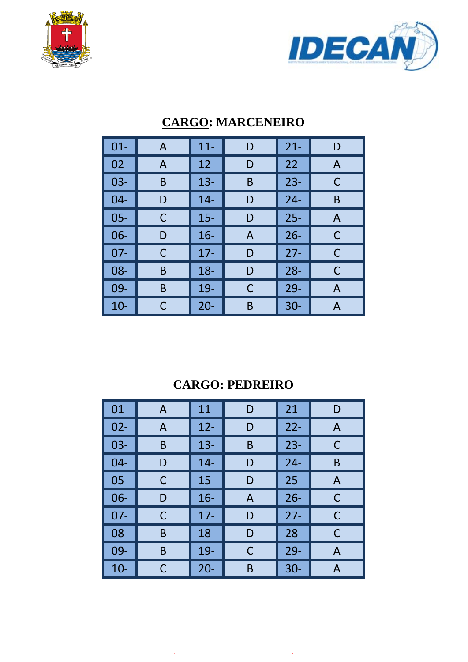



| $01 -$ | A | $11 -$ | D | $21 -$ | D |
|--------|---|--------|---|--------|---|
| $02 -$ | A | $12 -$ | D | $22 -$ | A |
| $03 -$ | B | $13 -$ | B | $23 -$ | C |
| $04 -$ | D | $14 -$ | D | $24 -$ | B |
| $05 -$ | С | $15 -$ | D | $25 -$ | A |
| $06-$  | D | $16 -$ | A | $26 -$ | C |
| $07 -$ | C | $17 -$ | D | $27 -$ | C |
| $08 -$ | B | $18 -$ | D | $28 -$ | C |
| 09-    | B | 19-    | C | $29 -$ | A |
| $10 -$ | С | $20 -$ | B | $30 -$ | А |

### **CARGO: MARCENEIRO**

### **CARGO: PEDREIRO**

| $01 -$ | A | $11 -$ | D | $21 -$ | D |
|--------|---|--------|---|--------|---|
| $02 -$ | A | $12 -$ | D | $22 -$ | A |
| $03 -$ | B | $13 -$ | B | $23 -$ | C |
| $04 -$ | D | $14 -$ | D | $24 -$ | B |
| $05 -$ | С | $15 -$ | D | $25 -$ | A |
| $06 -$ | D | $16 -$ | A | $26 -$ | С |
| $07 -$ | С | $17 -$ | D | $27 -$ | C |
| 08-    | B | $18 -$ | D | $28 -$ | C |
| 09-    | B | 19-    | C | $29-$  | A |
| $10 -$ | С | $20 -$ | B | $30 -$ | A |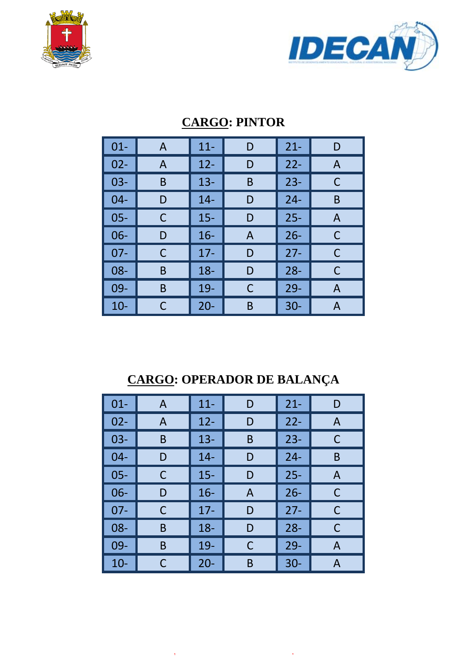



| $01 -$ | A | $11 -$ | D | $21 -$ | D            |
|--------|---|--------|---|--------|--------------|
| $02 -$ | A | $12 -$ | D | $22 -$ | $\mathsf{A}$ |
| $03-$  | B | $13 -$ | B | $23 -$ | C            |
| $04 -$ | D | $14 -$ | D | $24 -$ | B            |
| $05 -$ | С | $15 -$ | D | $25 -$ | A            |
| $06 -$ | D | $16 -$ | A | $26 -$ | C            |
| $07 -$ | С | $17 -$ | D | $27 -$ | C            |
| 08-    | B | $18 -$ | D | $28 -$ | C            |
| 09-    | B | $19-$  | С | $29 -$ | A            |
| $10 -$ | С | $20 -$ | Β | $30 -$ | А            |

### **CARGO: PINTOR**

## **CARGO: OPERADOR DE BALANÇA**

| $01 -$ | A | $11 -$ | D | $21 -$ | D |
|--------|---|--------|---|--------|---|
| $02 -$ | A | $12 -$ | D | $22 -$ | A |
| $03 -$ | B | $13 -$ | B | $23 -$ | C |
| $04 -$ | D | $14 -$ | D | $24 -$ | B |
| $05 -$ | С | $15 -$ | D | $25 -$ | A |
| $06 -$ | D | $16 -$ | A | $26 -$ | C |
| $07 -$ | С | $17 -$ | D | $27 -$ | С |
| $08 -$ | B | $18 -$ | D | $28 -$ | C |
| 09-    | B | 19-    | C | $29 -$ | A |
| $10 -$ | С | $20 -$ | B | $30 -$ | А |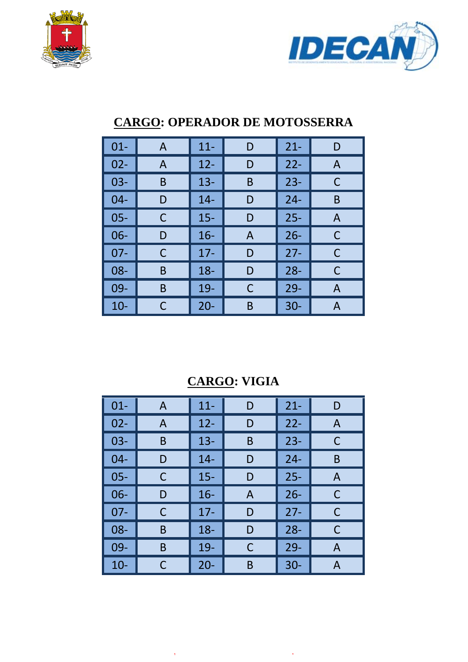



| $01 -$ | A | $11 -$ | D | $21 -$ | D |
|--------|---|--------|---|--------|---|
| $02 -$ | A | $12 -$ | D | $22 -$ | A |
| $03 -$ | B | $13 -$ | B | $23 -$ | C |
| $04 -$ | D | $14 -$ | D | $24 -$ | B |
| $05 -$ | C | $15 -$ | D | $25 -$ | A |
| $06-$  | D | $16 -$ | A | $26 -$ | C |
| $07 -$ | C | $17 -$ | D | $27 -$ | C |
| $08 -$ | B | $18 -$ | D | $28 -$ | C |
| 09-    | B | $19-$  | С | $29 -$ | A |
| $10 -$ | С | $20 -$ | Β | $30 -$ | А |

### **CARGO: OPERADOR DE MOTOSSERRA**

## **CARGO: VIGIA**

| $01 -$ | A | $11 -$ | D | $21 -$ | D |
|--------|---|--------|---|--------|---|
| $02 -$ | A | $12 -$ | D | $22 -$ | A |
| $03 -$ | B | $13 -$ | B | $23 -$ | С |
| $04 -$ | D | $14 -$ | D | $24 -$ | B |
| $05 -$ | С | $15 -$ | D | $25 -$ | A |
| $06 -$ | D | $16 -$ | A | $26 -$ | C |
| $07 -$ | С | $17 -$ | D | $27 -$ | C |
| $08 -$ | B | $18 -$ | D | $28 -$ | C |
| 09-    | B | 19-    | С | $29 -$ | A |
| $10 -$ | С | $20 -$ | B | $30 -$ | А |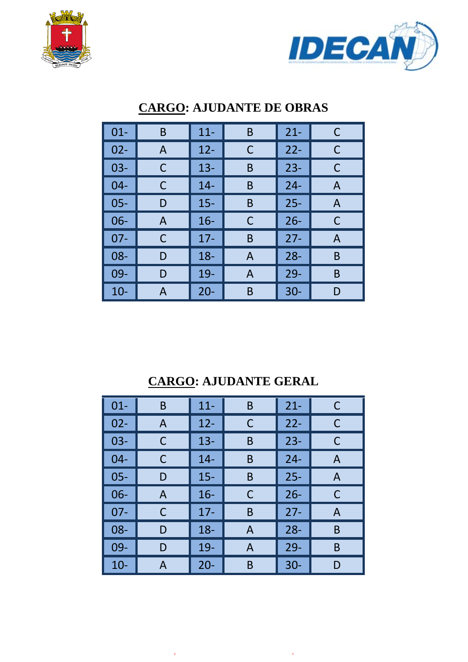



| $01 -$ | B | $11 -$ | B | $21 -$ | C |
|--------|---|--------|---|--------|---|
| $02 -$ | A | $12 -$ | C | $22 -$ | C |
| $03 -$ | С | $13 -$ | B | $23 -$ | C |
| $04 -$ | С | $14 -$ | B | $24 -$ | A |
| $05 -$ | D | $15 -$ | B | $25 -$ | A |
| $06 -$ | A | $16 -$ | C | $26 -$ | C |
| $07 -$ | С | $17 -$ | B | $27 -$ | A |
| 08-    | D | $18 -$ | A | $28 -$ | B |
| 09-    | D | 19-    | A | $29 -$ | B |
| $10 -$ | А | $20 -$ | B | $30 -$ | D |

## **CARGO: AJUDANTE DE OBRAS**

## **CARGO: AJUDANTE GERAL**

| $01 -$ | B | $11 -$ | Β | $21 -$ | C |
|--------|---|--------|---|--------|---|
| $02 -$ | A | $12 -$ | С | $22 -$ | C |
| $03 -$ | С | $13 -$ | Β | $23 -$ | С |
| $04 -$ | С | $14 -$ | Β | $24 -$ | A |
| $05 -$ | D | $15 -$ | B | $25 -$ | A |
| $06 -$ | A | $16 -$ | С | $26 -$ | С |
| $07 -$ | С | $17 -$ | B | $27 -$ | Α |
| 08-    | D | $18 -$ | A | $28 -$ | B |
| 09-    | D | 19-    | A | $29-$  | B |
| $10 -$ | A | $20 -$ | B | $30 -$ | D |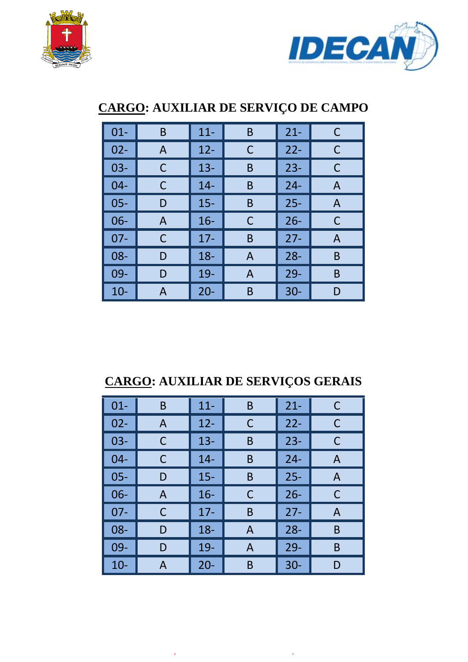



| $01 -$ | B | $11 -$ | B | $21 -$ | C |
|--------|---|--------|---|--------|---|
| $02 -$ | A | $12 -$ | C | $22 -$ | C |
| $03 -$ | C | $13 -$ | B | $23 -$ | C |
| $04 -$ | С | $14 -$ | B | $24 -$ | A |
| $05 -$ | D | $15 -$ | B | $25 -$ | A |
| $06 -$ | A | $16 -$ | C | $26 -$ | С |
| $07 -$ | C | $17-$  | B | $27 -$ | A |
| $08 -$ | D | $18 -$ | A | $28 -$ | B |
| 09-    | D | 19-    | A | $29 -$ | B |
| $10-$  | A | $20 -$ | B | $30 -$ | D |

## **CARGO: AUXILIAR DE SERVIÇO DE CAMPO**

## **CARGO: AUXILIAR DE SERVIÇOS GERAIS**

| $01 -$ | Β | $11 -$ | B | $21 -$ | C |
|--------|---|--------|---|--------|---|
| $02 -$ | A | $12 -$ | С | $22 -$ | С |
| $03 -$ | С | $13 -$ | B | $23 -$ | С |
| $04 -$ | C | $14 -$ | B | $24 -$ | A |
| $05 -$ | D | $15 -$ | B | $25 -$ | A |
| $06 -$ | A | $16 -$ | С | $26 -$ | С |
| $07 -$ | C | $17-$  | B | $27 -$ | A |
| 08-    | D | $18 -$ | A | $28 -$ | B |
| $09 -$ | D | 19-    | A | $29 -$ | B |
| $10-$  | A | $20 -$ | B | $30 -$ | D |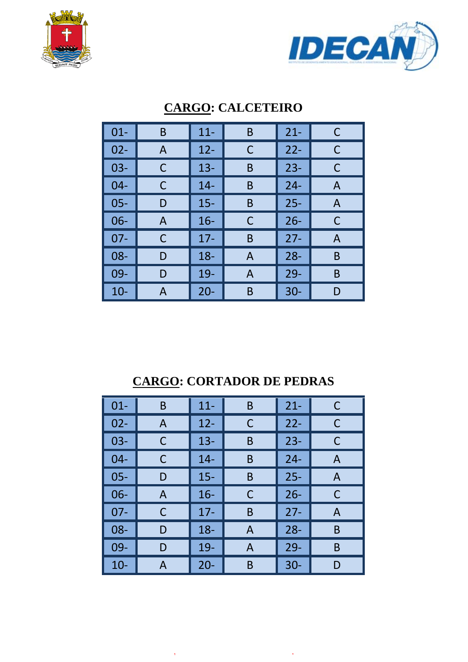



| $01 -$ | B | $11 -$ | B | $21 -$ | C |
|--------|---|--------|---|--------|---|
| $02 -$ | A | $12 -$ | С | $22 -$ | C |
| $03 -$ | C | $13 -$ | Β | $23 -$ | C |
| $04 -$ | C | $14 -$ | Β | $24 -$ | A |
| $05 -$ | D | $15 -$ | B | $25 -$ | A |
| $06 -$ | A | $16 -$ | C | $26 -$ | С |
| $07 -$ | C | $17 -$ | B | $27 -$ | A |
| 08-    | D | $18 -$ | Α | $28 -$ | B |
| 09-    | D | 19-    | A | $29 -$ | B |
| $10 -$ | А | $20 -$ | Β | $30 -$ | D |

## **CARGO: CALCETEIRO**

#### **CARGO: CORTADOR DE PEDRAS**

| $01 -$ | B | $11 -$ | B | $21 -$ | C |
|--------|---|--------|---|--------|---|
| $02 -$ | A | $12 -$ | C | $22 -$ | C |
| $03 -$ | С | $13 -$ | B | $23 -$ | C |
| $04 -$ | С | $14 -$ | B | $24 -$ | A |
| $05 -$ | D | $15 -$ | Β | $25 -$ | A |
| $06 -$ | A | $16 -$ | C | $26 -$ | С |
| $07 -$ | С | $17 -$ | B | $27 -$ | Α |
| 08-    | D | $18 -$ | A | $28 -$ | B |
| 09-    | D | 19-    | A | $29-$  | B |
| $10-$  | А | $20 -$ | Β | $30-$  | D |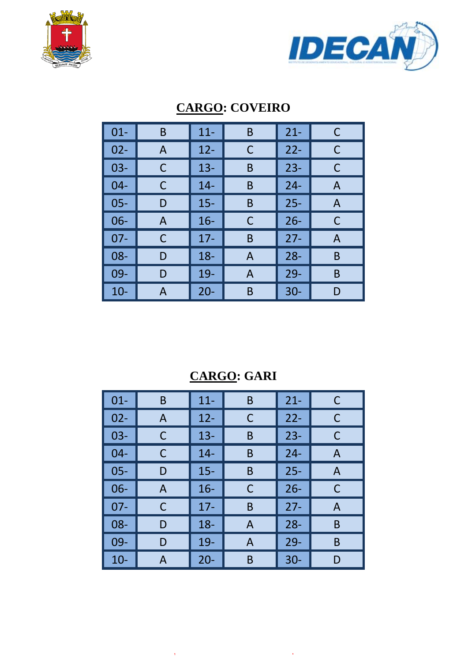



| $01 -$ | B | $11 -$ | B | $21 -$ | C |
|--------|---|--------|---|--------|---|
| $02 -$ | A | $12 -$ | C | $22 -$ | C |
| $03 -$ | С | $13 -$ | B | $23 -$ | C |
| $04 -$ | C | $14 -$ | B | $24 -$ | Α |
| $05 -$ | D | $15 -$ | B | $25 -$ | A |
| $06 -$ | A | $16 -$ | C | $26 -$ | C |
| $07 -$ | C | $17 -$ | B | $27 -$ | A |
| 08-    | D | $18 -$ | A | $28 -$ | B |
| 09-    | D | $19-$  | A | $29 -$ | B |
| $10 -$ | А | $20 -$ | B | $30 -$ | D |

## **CARGO: COVEIRO**

## **CARGO: GARI**

| $01 -$ | B | $11 -$ | B | $21 -$ | C |
|--------|---|--------|---|--------|---|
| $02 -$ | A | $12 -$ | С | $22 -$ | C |
| $03 -$ | С | $13 -$ | B | $23 -$ | С |
| $04 -$ | С | $14 -$ | B | $24 -$ | A |
| $05 -$ | D | $15 -$ | B | $25 -$ | A |
| 06-    | A | $16 -$ | С | $26 -$ | С |
| $07 -$ | С | $17 -$ | B | $27 -$ | A |
| $08 -$ | D | $18 -$ | Α | $28 -$ | B |
| 09-    | D | 19-    | A | $29 -$ | B |
| $10-$  | A | $20 -$ | B | $30 -$ | D |